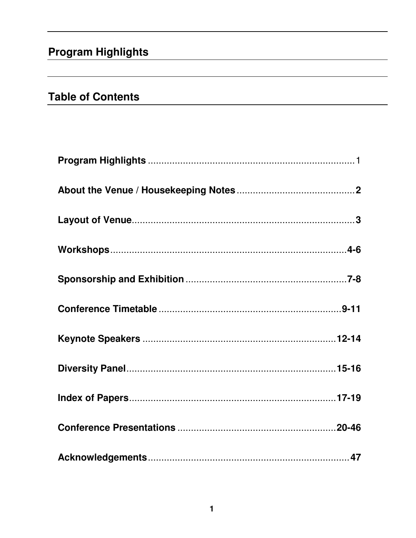# **Program Highlights**

# **Table of Contents**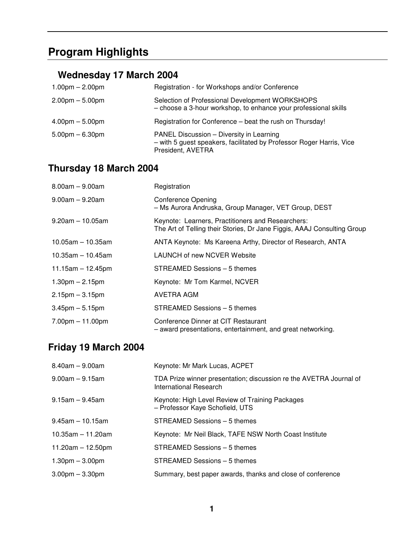# **Program Highlights**

# **Wednesday 17 March 2004**

| $1.00pm - 2.00pm$                 | Registration - for Workshops and/or Conference                                                                                        |
|-----------------------------------|---------------------------------------------------------------------------------------------------------------------------------------|
| $2.00 \text{pm} - 5.00 \text{pm}$ | Selection of Professional Development WORKSHOPS<br>- choose a 3-hour workshop, to enhance your professional skills                    |
| $4.00pm - 5.00pm$                 | Registration for Conference - beat the rush on Thursday!                                                                              |
| $5.00pm - 6.30pm$                 | PANEL Discussion - Diversity in Learning<br>- with 5 guest speakers, facilitated by Professor Roger Harris, Vice<br>President, AVETRA |

# **Thursday 18 March 2004**

| $8.00am - 9.00am$     | Registration                                                                                                                 |
|-----------------------|------------------------------------------------------------------------------------------------------------------------------|
| $9.00$ am $-9.20$ am  | <b>Conference Opening</b><br>- Ms Aurora Andruska, Group Manager, VET Group, DEST                                            |
| $9.20$ am $-10.05$ am | Keynote: Learners, Practitioners and Researchers:<br>The Art of Telling their Stories, Dr Jane Figgis, AAAJ Consulting Group |
| $10.05$ am – 10.35am  | ANTA Keynote: Ms Kareena Arthy, Director of Research, ANTA                                                                   |
| $10.35$ am - 10.45am  | <b>LAUNCH of new NCVER Website</b>                                                                                           |
| $11.15am - 12.45pm$   | STREAMED Sessions - 5 themes                                                                                                 |
| $1.30pm - 2.15pm$     | Keynote: Mr Tom Karmel, NCVER                                                                                                |
| $2.15$ pm $-3.15$ pm  | AVETRA AGM                                                                                                                   |
| $3.45$ pm $-5.15$ pm  | STREAMED Sessions - 5 themes                                                                                                 |
| $7.00pm - 11.00pm$    | Conference Dinner at CIT Restaurant<br>- award presentations, entertainment, and great networking.                           |

# **Friday 19 March 2004**

| $8.40$ am $-9.00$ am   | Keynote: Mr Mark Lucas, ACPET                                                                |
|------------------------|----------------------------------------------------------------------------------------------|
| $9.00$ am $-9.15$ am   | TDA Prize winner presentation; discussion re the AVETRA Journal of<br>International Research |
| $9.15$ am $-9.45$ am   | Keynote: High Level Review of Training Packages<br>- Professor Kaye Schofield, UTS           |
| $9.45$ am $-10.15$ am  | STREAMED Sessions - 5 themes                                                                 |
| $10.35$ am $-11.20$ am | Keynote: Mr Neil Black, TAFE NSW North Coast Institute                                       |
| 11.20am $-$ 12.50pm    | STREAMED Sessions - 5 themes                                                                 |
| $1.30pm - 3.00pm$      | STREAMED Sessions - 5 themes                                                                 |
| $3.00pm - 3.30pm$      | Summary, best paper awards, thanks and close of conference                                   |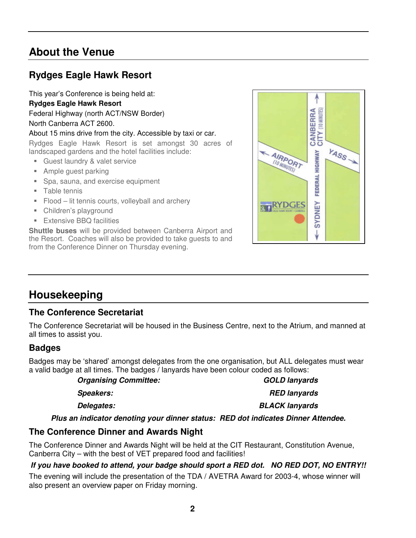# **About the Venue**

# **Rydges Eagle Hawk Resort**

This year's Conference is being held at: **Rydges Eagle Hawk Resort**

Federal Highway (north ACT/NSW Border) North Canberra ACT 2600.

## About 15 mins drive from the city. Accessible by taxi or car.

Rydges Eagle Hawk Resort is set amongst 30 acres of landscaped gardens and the hotel facilities include:

- Guest laundry & valet service
- **Ample guest parking**
- **Spa, sauna, and exercise equipment**
- **Table tennis**
- **Flood lit tennis courts, volleyball and archery**
- Children's playground
- **Extensive BBQ facilities**

**Shuttle buses** will be provided between Canberra Airport and the Resort. Coaches will also be provided to take guests to and from the Conference Dinner on Thursday evening.



# **Housekeeping**

## **The Conference Secretariat**

The Conference Secretariat will be housed in the Business Centre, next to the Atrium, and manned at all times to assist you.

## **Badges**

Badges may be 'shared' amongst delegates from the one organisation, but ALL delegates must wear a valid badge at all times. The badges / lanyards have been colour coded as follows:

*Organising Committee: GOLD lanyards Speakers: RED lanyards Delegates: BLACK lanyards Plus an indicator denoting your dinner status: RED dot indicates Dinner Attendee.*

## **The Conference Dinner and Awards Night**

The Conference Dinner and Awards Night will be held at the CIT Restaurant, Constitution Avenue, Canberra City – with the best of VET prepared food and facilities!

## *If you have booked to attend, your badge should sport a RED dot. NO RED DOT, NO ENTRY!!*

The evening will include the presentation of the TDA / AVETRA Award for 2003-4, whose winner will also present an overview paper on Friday morning.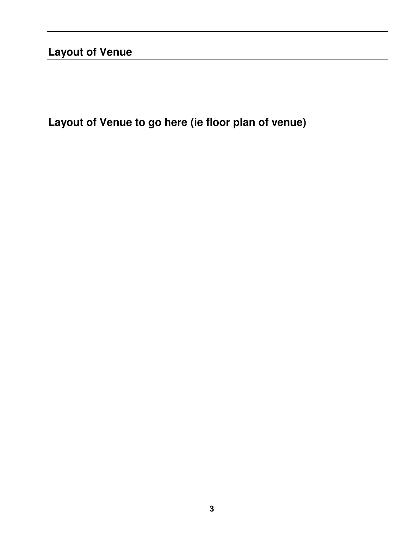# **Layout of Venue**

**Layout of Venue to go here (ie floor plan of venue)**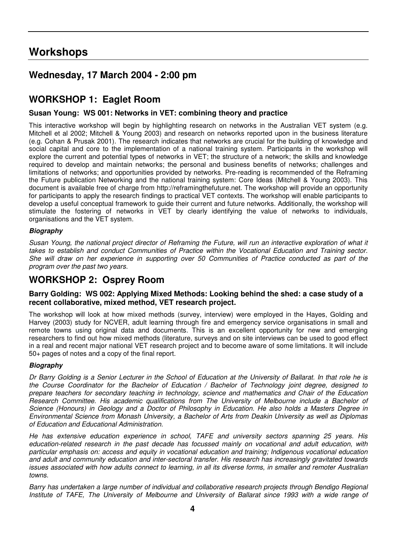# **Workshops**

## **Wednesday, 17 March 2004 - 2:00 pm**

## **WORKSHOP 1: Eaglet Room**

## **Susan Young: WS 001: Networks in VET: combining theory and practice**

This interactive workshop will begin by highlighting research on networks in the Australian VET system (e.g. Mitchell et al 2002; Mitchell & Young 2003) and research on networks reported upon in the business literature (e.g. Cohan & Prusak 2001). The research indicates that networks are crucial for the building of knowledge and social capital and core to the implementation of a national training system. Participants in the workshop will explore the current and potential types of networks in VET; the structure of a network; the skills and knowledge required to develop and maintain networks; the personal and business benefits of networks; challenges and limitations of networks; and opportunities provided by networks. Pre-reading is recommended of the Reframing the Future publication Networking and the national training system: Core Ideas (Mitchell & Young 2003). This document is available free of charge from http://reframingthefuture.net. The workshop will provide an opportunity for participants to apply the research findings to practical VET contexts. The workshop will enable participants to develop a useful conceptual framework to guide their current and future networks. Additionally, the workshop will stimulate the fostering of networks in VET by clearly identifying the value of networks to individuals, organisations and the VET system.

## *Biography*

Susan Young, the national project director of Reframing the Future, will run an interactive exploration of what it *takes to establish and conduct Communities of Practice within the Vocational Education and Training sector.* She will draw on her experience in supporting over 50 Communities of Practice conducted as part of the *program over the past two years.*

## **WORKSHOP 2: Osprey Room**

## **Barry Golding: WS 002: Applying Mixed Methods: Looking behind the shed: a case study of a recent collaborative, mixed method, VET research project.**

The workshop will look at how mixed methods (survey, interview) were employed in the Hayes, Golding and Harvey (2003) study for NCVER, adult learning through fire and emergency service organisations in small and remote towns using original data and documents. This is an excellent opportunity for new and emerging researchers to find out how mixed methods (literature, surveys and on site interviews can be used to good effect in a real and recent major national VET research project and to become aware of some limitations. It will include 50+ pages of notes and a copy of the final report.

## *Biography*

Dr Barry Golding is a Senior Lecturer in the School of Education at the University of Ballarat. In that role he is *the Course Coordinator for the Bachelor of Education / Bachelor of Technology joint degree, designed to prepare teachers for secondary teaching in technology, science and mathematics and Chair of the Education Research Committee. His academic qualifications from The University of Melbourne include a Bachelor of* Science (Honours) in Geology and a Doctor of Philosophy in Education. He also holds a Masters Degree in *Environmental Science from Monash University, a Bachelor of Arts from Deakin University as well as Diplomas of Education and Educational Administration.*

*He has extensive education experience in school, TAFE and university sectors spanning 25 years. His education-related research in the past decade has focussed mainly on vocational and adult education, with particular emphasis on: access and equity in vocational education and training; Indigenous vocational education and adult and community education and inter-sectoral transfer. His research has increasingly gravitated towards* issues associated with how adults connect to learning, in all its diverse forms, in smaller and remoter Australian *towns.*

*Barry has undertaken a large number of individual and collaborative research projects through Bendigo Regional* Institute of TAFE, The University of Melbourne and University of Ballarat since 1993 with a wide range of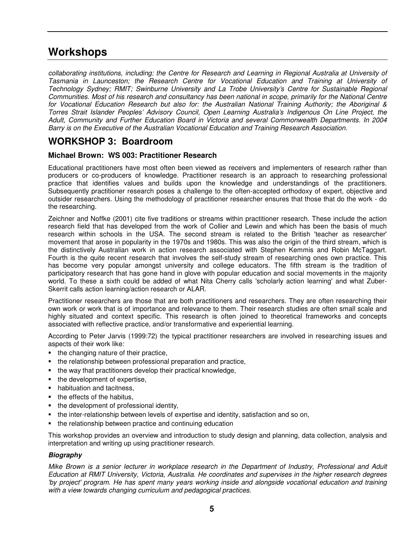# **Workshops**

*collaborating institutions, including: the Centre for Research and Learning in Regional Australia at University of Tasmania in Launceston; the Research Centre for Vocational Education and Training at University of Technology Sydney; RMIT; Swinburne University and La Trobe University's Centre for Sustainable Regional* Communities. Most of his research and consultancy has been national in scope, primarily for the National Centre *for Vocational Education Research but also for: the Australian National Training Authority; the Aboriginal & Torres Strait Islander Peoples' Advisory Council, Open Learning Australia's Indigenous On Line Project, the Adult, Community and Further Education Board in Victoria and several Commonwealth Departments. In 2004 Barry is on the Executive of the Australian Vocational Education and Training Research Association.*

## **WORKSHOP 3: Boardroom**

## **Michael Brown: WS 003: Practitioner Research**

Educational practitioners have most often been viewed as receivers and implementers of research rather than producers or co-producers of knowledge. Practitioner research is an approach to researching professional practice that identifies values and builds upon the knowledge and understandings of the practitioners. Subsequently practitioner research poses a challenge to the often-accepted orthodoxy of expert, objective and outsider researchers. Using the methodology of practitioner researcher ensures that those that do the work - do the researching.

Zeichner and Noffke (2001) cite five traditions or streams within practitioner research. These include the action research field that has developed from the work of Collier and Lewin and which has been the basis of much research within schools in the USA. The second stream is related to the British 'teacher as researcher' movement that arose in popularity in the 1970s and 1980s. This was also the origin of the third stream, which is the distinctively Australian work in action research associated with Stephen Kemmis and Robin McTaggart. Fourth is the quite recent research that involves the self-study stream of researching ones own practice. This has become very popular amongst university and college educators. The fifth stream is the tradition of participatory research that has gone hand in glove with popular education and social movements in the majority world. To these a sixth could be added of what Nita Cherry calls 'scholarly action learning'and what Zuber-Skerrit calls action learning/action research or ALAR.

Practitioner researchers are those that are both practitioners and researchers. They are often researching their own work or work that is of importance and relevance to them. Their research studies are often small scale and highly situated and context specific. This research is often joined to theoretical frameworks and concepts associated with reflective practice, and/or transformative and experiential learning.

According to Peter Jarvis (1999:72) the typical practitioner researchers are involved in researching issues and aspects of their work like:

- $\blacksquare$  the changing nature of their practice,
- the relationship between professional preparation and practice,
- the way that practitioners develop their practical knowledge,
- the development of expertise,
- habituation and tacitness,
- $\blacksquare$  the effects of the habitus,
- the development of professional identity,
- the inter-relationship between levels of expertise and identity, satisfaction and so on,
- the relationship between practice and continuing education

This workshop provides an overview and introduction to study design and planning, data collection, analysis and interpretation and writing up using practitioner research.

## *Biography*

Mike Brown is a senior lecturer in workplace research in the Department of Industry, Professional and Adult *Education at RMIT University, Victoria, Australia. He coordinates and supervises in the higher research degrees 'by project'program. He has spent many years working inside and alongside vocational education and training with a view towards changing curriculum and pedagogical practices.*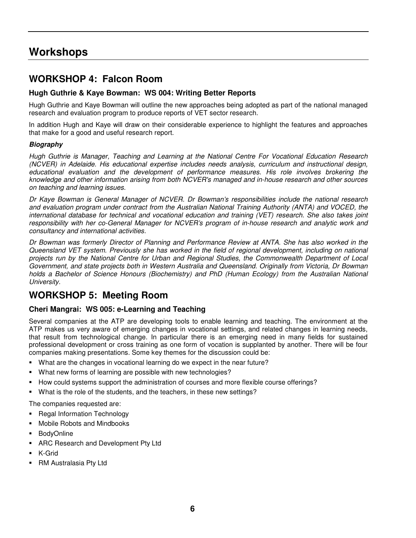# **Workshops**

## **WORKSHOP 4: Falcon Room**

## **Hugh Guthrie & Kaye Bowman: WS 004: Writing Better Reports**

Hugh Guthrie and Kaye Bowman will outline the new approaches being adopted as part of the national managed research and evaluation program to produce reports of VET sector research.

In addition Hugh and Kaye will draw on their considerable experience to highlight the features and approaches that make for a good and useful research report.

## *Biography*

*Hugh Guthrie is Manager, Teaching and Learning at the National Centre For Vocational Education Research (NCVER) in Adelaide. His educational expertise includes needs analysis, curriculum and instructional design, educational evaluation and the development of performance measures. His role involves brokering the knowledge and other information arising from both NCVER's managed and in-house research and other sources on teaching and learning issues.*

*Dr Kaye Bowman is General Manager of NCVER. Dr Bowman's responsibilities include the national research and evaluation program under contract from the Australian National Training Authority (ANTA) and VOCED, the international database for technical and vocational education and training (VET) research. She also takes joint responsibility with her co-General Manager for NCVER's program of in-house research and analytic work and consultancy and international activities.*

Dr Bowman was formerly Director of Planning and Performance Review at ANTA. She has also worked in the *Queensland VET system. Previously she has worked in the field of regional development, including on national projects run by the National Centre for Urban and Regional Studies, the Commonwealth Department of Local Government, and state projects both in Western Australia and Queensland. Originally from Victoria, Dr Bowman holds a Bachelor of Science Honours (Biochemistry) and PhD (Human Ecology) from the Australian National University.*

## **WORKSHOP 5: Meeting Room**

## **Cheri Mangrai: WS 005: e-Learning and Teaching**

Several companies at the ATP are developing tools to enable learning and teaching. The environment at the ATP makes us very aware of emerging changes in vocational settings, and related changes in learning needs, that result from technological change. In particular there is an emerging need in many fields for sustained professional development or cross training as one form of vocation is supplanted by another. There will be four companies making presentations. Some key themes for the discussion could be:

- What are the changes in vocational learning do we expect in the near future?
- What new forms of learning are possible with new technologies?
- How could systems support the administration of courses and more flexible course offerings?
- What is the role of the students, and the teachers, in these new settings?

The companies requested are:

- **Regal Information Technology**
- Mobile Robots and Mindbooks
- BodyOnline
- ARC Research and Development Pty Ltd
- K-Grid
- RM Australasia Pty Ltd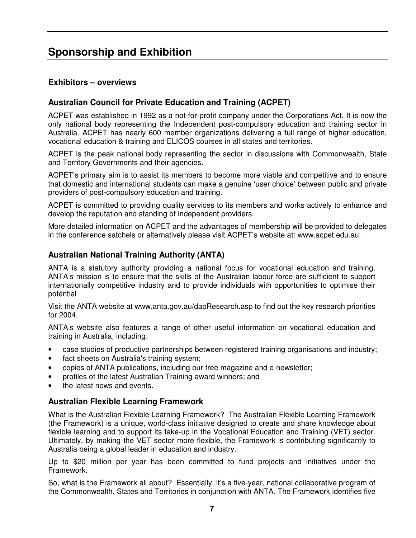# **Sponsorship and Exhibition**

## **Exhibitors – overviews**

## **Australian Council for Private Education and Training (ACPET)**

ACPET was established in 1992 as a not-for-profit company under the Corporations Act. It is now the only national body representing the Independent post-compulsory education and training sector in Australia. ACPET has nearly 600 member organizations delivering a full range of higher education, vocational education & training and ELICOS courses in all states and territories.

ACPET is the peak national body representing the sector in discussions with Commonwealth, State and Territory Governments and their agencies.

ACPET's primary aim is to assist its members to become more viable and competitive and to ensure that domestic and international students can make a genuine 'user choice' between public and private providers of post-compulsory education and training.

ACPET is committed to providing quality services to its members and works actively to enhance and develop the reputation and standing of independent providers.

More detailed information on ACPET and the advantages of membership will be provided to delegates in the conference satchels or alternatively please visit ACPET's website at: www.acpet.edu.au.

## **Australian National Training Authority (ANTA)**

ANTA is a statutory authority providing a national focus for vocational education and training. ANTA's mission is to ensure that the skills of the Australian labour force are sufficient to support internationally competitive industry and to provide individuals with opportunities to optimise their potential

Visit the ANTA website at www.anta.gov.au/dapResearch.asp to find out the key research priorities for 2004.

ANTA's website also features a range of other useful information on vocational education and training in Australia, including:

- case studies of productive partnerships between registered training organisations and industry;
- fact sheets on Australia's training system;
- copies of ANTA publications, including our free magazine and e-newsletter;
- profiles of the latest Australian Training award winners; and
- the latest news and events.

## **Australian Flexible Learning Framework**

What is the Australian Flexible Learning Framework? The Australian Flexible Learning Framework (the Framework) is a unique, world-class initiative designed to create and share knowledge about flexible learning and to support its take-up in the Vocational Education and Training (VET) sector. Ultimately, by making the VET sector more flexible, the Framework is contributing significantly to Australia being a global leader in education and industry.

Up to \$20 million per year has been committed to fund projects and initiatives under the Framework.

So, what is the Framework all about? Essentially, it's a five-year, national collaborative program of the Commonwealth, States and Territories in conjunction with ANTA. The Framework identifies five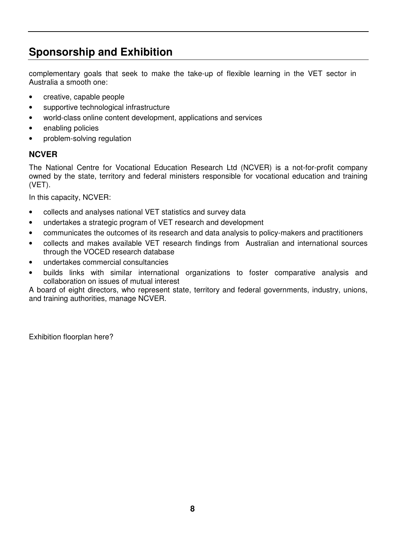# **Sponsorship and Exhibition**

complementary goals that seek to make the take-up of flexible learning in the VET sector in Australia a smooth one:

- creative, capable people
- supportive technological infrastructure
- world-class online content development, applications and services
- enabling policies
- problem-solving regulation

## **NCVER**

The National Centre for Vocational Education Research Ltd (NCVER) is a not-for-profit company owned by the state, territory and federal ministers responsible for vocational education and training (VET).

In this capacity, NCVER:

- collects and analyses national VET statistics and survey data
- undertakes a strategic program of VET research and development
- communicates the outcomes of its research and data analysis to policy-makers and practitioners
- collects and makes available VET research findings from Australian and international sources through the VOCED research database
- undertakes commercial consultancies
- builds links with similar international organizations to foster comparative analysis and collaboration on issues of mutual interest

A board of eight directors, who represent state, territory and federal governments, industry, unions, and training authorities, manage NCVER.

Exhibition floorplan here?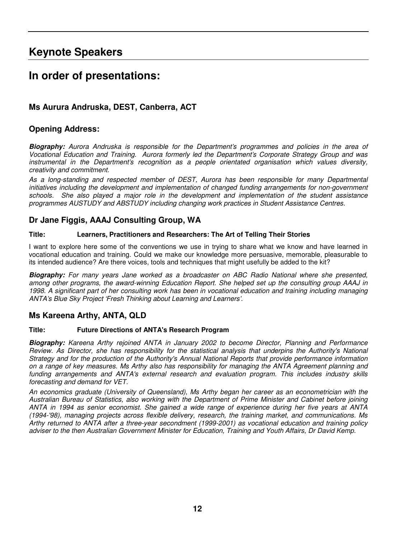# **Keynote Speakers**

# **In order of presentations:**

## **Ms Aurura Andruska, DEST, Canberra, ACT**

## **Opening Address:**

*Biography: Aurora Andruska is responsible for the Department's programmes and policies in the area of Vocational Education and Training. Aurora formerly led the Department's Corporate Strategy Group and was instrumental in the Department's recognition as a people orientated organisation which values diversity, creativity and commitment.*

*As a long-standing and respected member of DEST, Aurora has been responsible for many Departmental initiatives including the development and implementation of changed funding arrangements for non-government schools. She also played a major role in the development and implementation of the student assistance programmes AUSTUDY and ABSTUDY including changing work practices in Student Assistance Centres.*

## **Dr Jane Figgis, AAAJ Consulting Group, WA**

## **Title: Learners, Practitioners and Researchers: The Art of Telling Their Stories**

I want to explore here some of the conventions we use in trying to share what we know and have learned in vocational education and training. Could we make our knowledge more persuasive, memorable, pleasurable to its intended audience? Are there voices, tools and techniques that might usefully be added to the kit?

*Biography: For many years Jane worked as a broadcaster on ABC Radio National where she presented, among other programs, the award-winning Education Report. She helped set up the consulting group AAAJ in* 1998. A significant part of her consulting work has been in vocational education and training including managing *ANTA's Blue Sky Project 'Fresh Thinking about Learning and Learners'.*

## **Ms Kareena Arthy, ANTA, QLD**

## **Title: Future Directions of ANTA's Research Program**

*Biography: Kareena Arthy rejoined ANTA in January 2002 to become Director, Planning and Performance Review. As Director, she has responsibility for the statistical analysis that underpins the Authority's National Strategy and for the production of the Authority's Annual National Reports that provide performance information* on a range of key measures. Ms Arthy also has responsibility for managing the ANTA Agreement planning and *funding arrangements and ANTA's external research and evaluation program. This includes industry skills forecasting and demand for VET.*

*An economics graduate (University of Queensland), Ms Arthy began her career as an econometrician with the Australian Bureau of Statistics, also working with the Department of Prime Minister and Cabinet before joining* ANTA in 1994 as senior economist. She gained a wide range of experience during her five years at ANTA *(1994-'98), managing projects across flexible delivery, research, the training market, and communications. Ms Arthy returned to ANTA after a three-year secondment (1999-2001) as vocational education and training policy adviser to the then Australian Government Minister for Education, Training and Youth Affairs, Dr David Kemp.*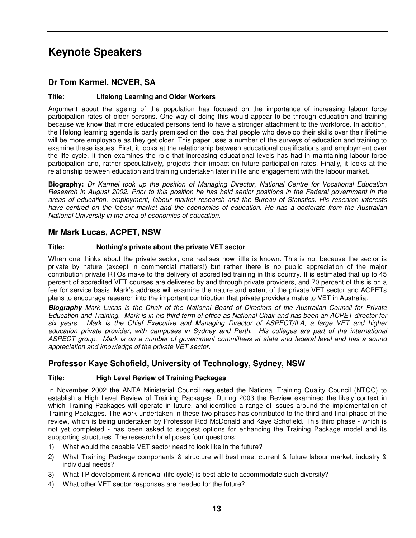# **Keynote Speakers**

## **Dr Tom Karmel, NCVER, SA**

## **Title: Lifelong Learning and Older Workers**

Argument about the ageing of the population has focused on the importance of increasing labour force participation rates of older persons. One way of doing this would appear to be through education and training because we know that more educated persons tend to have a stronger attachment to the workforce. In addition, the lifelong learning agenda is partly premised on the idea that people who develop their skills over their lifetime will be more employable as they get older. This paper uses a number of the surveys of education and training to examine these issues. First, it looks at the relationship between educational qualifications and employment over the life cycle. It then examines the role that increasing educational levels has had in maintaining labour force participation and, rather speculatively, projects their impact on future participation rates. Finally, it looks at the relationship between education and training undertaken later in life and engagement with the labour market.

**Biography:** *Dr Karmel took up the position of Managing Director, National Centre for Vocational Education* Research in August 2002. Prior to this position he has held senior positions in the Federal government in the *areas of education, employment, labour market research and the Bureau of Statistics. His research interests* have centred on the labour market and the economics of education. He has a doctorate from the Australian *National University in the area of economics of education.*

## **Mr Mark Lucas, ACPET, NSW**

## **Title: Nothing's private about the private VET sector**

When one thinks about the private sector, one realises how little is known. This is not because the sector is private by nature (except in commercial matters!) but rather there is no public appreciation of the major contribution private RTOs make to the delivery of accredited training in this country. It is estimated that up to 45 percent of accredited VET courses are delivered by and through private providers, and 70 percent of this is on a fee for service basis. Mark's address will examine the nature and extent of the private VET sector and ACPETs plans to encourage research into the important contribution that private providers make to VET in Australia.

Biography Mark Lucas is the Chair of the National Board of Directors of the Australian Council for Private Education and Training. Mark is in his third term of office as National Chair and has been an ACPET director for *six years. Mark is the Chief Executive and Managing Director of ASPECT/ILA, a large VET and higher education private provider, with campuses in Sydney and Perth. His colleges are part of the international* ASPECT group. Mark is on a number of government committees at state and federal level and has a sound *appreciation and knowledge of the private VET sector.*

## **Professor Kaye Schofield, University of Technology, Sydney, NSW**

## **Title: High Level Review of Training Packages**

In November 2002 the ANTA Ministerial Council requested the National Training Quality Council (NTQC) to establish a High Level Review of Training Packages. During 2003 the Review examined the likely context in which Training Packages will operate in future, and identified a range of issues around the implementation of Training Packages. The work undertaken in these two phases has contributed to the third and final phase of the review, which is being undertaken by Professor Rod McDonald and Kaye Schofield. This third phase - which is not yet completed - has been asked to suggest options for enhancing the Training Package model and its supporting structures. The research brief poses four questions:

- 1) What would the capable VET sector need to look like in the future?
- 2) What Training Package components & structure will best meet current & future labour market, industry & individual needs?
- 3) What TP development & renewal (life cycle) is best able to accommodate such diversity?
- 4) What other VET sector responses are needed for the future?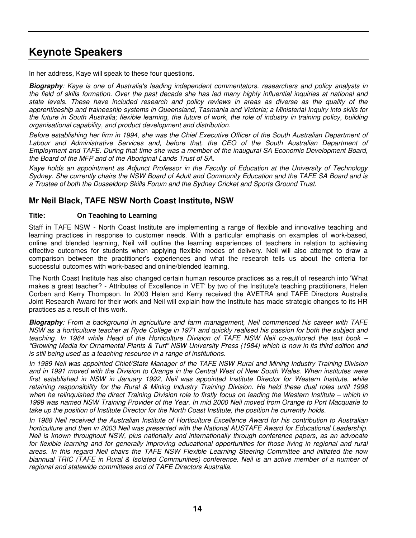# **Keynote Speakers**

In her address, Kaye will speak to these four questions.

*Biography: Kaye is one of Australia's leading independent commentators, researchers and policy analysts in* the field of skills formation. Over the past decade she has led many highly influential inquiries at national and state levels. These have included research and policy reviews in areas as diverse as the quality of the *apprenticeship and traineeship systems in Queensland, Tasmania and Victoria; a Ministerial Inquiry into skills for* the future in South Australia; flexible learning, the future of work, the role of industry in training policy, building *organisational capability, and product development and distribution.*

Before establishing her firm in 1994, she was the Chief Executive Officer of the South Australian Department of *Labour and Administrative Services and, before that, the CEO of the South Australian Department of Employment and TAFE. During that time she was a member of the inaugural SA Economic Development Board, the Board of the MFP and of the Aboriginal Lands Trust of SA.*

Kaye holds an appointment as Adjunct Professor in the Faculty of Education at the University of Technology Sydney. She currently chairs the NSW Board of Adult and Community Education and the TAFE SA Board and is *a Trustee of both the Dusseldorp Skills Forum and the Sydney Cricket and Sports Ground Trust.*

## **Mr Neil Black, TAFE NSW North Coast Institute, NSW**

## **Title: On Teaching to Learning**

Staff in TAFE NSW - North Coast Institute are implementing a range of flexible and innovative teaching and learning practices in response to customer needs. With a particular emphasis on examples of work-based, online and blended learning, Neil will outline the learning experiences of teachers in relation to achieving effective outcomes for students when applying flexible modes of delivery. Neil will also attempt to draw a comparison between the practitioner's experiences and what the research tells us about the criteria for successful outcomes with work-based and online/blended learning.

The North Coast Institute has also changed certain human resource practices as a result of research into 'What makes a great teacher? - Attributes of Excellence in VET' by two of the Institute's teaching practitioners, Helen Corben and Kerry Thompson. In 2003 Helen and Kerry received the AVETRA and TAFE Directors Australia Joint Research Award for their work and Neil will explain how the Institute has made strategic changes to its HR practices as a result of this work.

*Biography: From a background in agriculture and farm management, Neil commenced his career with TAFE* NSW as a horticulture teacher at Ryde College in 1971 and quickly realised his passion for both the subject and teaching. In 1984 while Head of the Horticulture Division of TAFE NSW Neil co-authored the text book -"Growing Media for Ornamental Plants & Turf" NSW University Press (1984) which is now in its third edition and *is still being used as a teaching resource in a range of institutions.*

In 1989 Neil was appointed Chief/State Manager of the TAFE NSW Rural and Mining Industry Training Division and in 1991 moved with the Division to Orange in the Central West of New South Wales. When institutes were *first established in NSW in January 1992, Neil was appointed Institute Director for Western Institute, while* retaining responsibility for the Rural & Mining Industry Training Division. He held these dual roles until 1996 when he relinguished the direct Training Division role to firstly focus on leading the Western Institute – which in 1999 was named NSW Training Provider of the Year. In mid 2000 Neil moved from Orange to Port Macquarie to take up the position of Institute Director for the North Coast Institute, the position he currently holds.

In 1988 Neil received the Australian Institute of Horticulture Excellence Award for his contribution to Australian *horticulture and then in 2003 Neil was presented with the National AUSTAFE Award for Educational Leadership. Neil is known throughout NSW, plus nationally and internationally through conference papers, as an advocate* for flexible learning and for generally improving educational opportunities for those living in regional and rural *areas. In this regard Neil chairs the TAFE NSW Flexible Learning Steering Committee and initiated the now* biannual TRIC (TAFE in Rural & Isolated Communities) conference. Neil is an active member of a number of *regional and statewide committees and of TAFE Directors Australia.*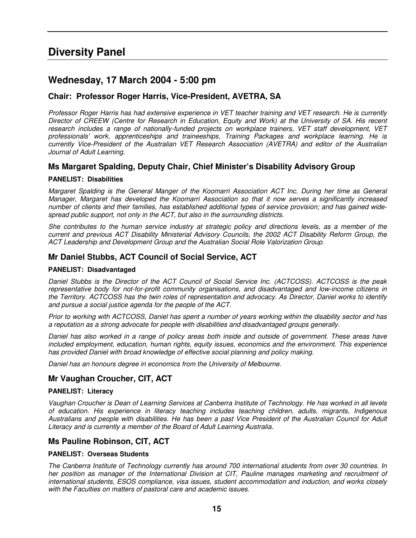# **Diversity Panel**

## **Wednesday, 17 March 2004 - 5:00 pm**

## **Chair: Professor Roger Harris, Vice-President, AVETRA, SA**

Professor Roger Harris has had extensive experience in VET teacher training and VET research. He is currently Director of CREEW (Centre for Research in Education, Equity and Work) at the University of SA. His recent *research includes a range of nationally-funded projects on workplace trainers, VET staff development, VET professionals' work, apprenticeships and traineeships, Training Packages and workplace learning. He is currently Vice-President of the Australian VET Research Association (AVETRA) and editor of the Australian Journal of Adult Learning.*

## **Ms Margaret Spalding, Deputy Chair, Chief Minister's Disability Advisory Group**

### **PANELIST: Disabilities**

*Margaret Spalding is the General Manger of the Koomarri Association ACT Inc. During her time as General Manager, Margaret has developed the Koomarri Association so that it now serves a significantly increased* number of clients and their families, has established additional types of service provision; and has gained wide*spread public support, not only in the ACT, but also in the surrounding districts.*

She contributes to the human service industry at strategic policy and directions levels, as a member of the *current and previous ACT Disability Ministerial Advisory Councils, the 2002 ACT Disability Reform Group, the ACT Leadership and Development Group and the Australian Social Role Valorization Group.*

## **Mr Daniel Stubbs, ACT Council of Social Service, ACT**

### **PANELIST: Disadvantaged**

Daniel Stubbs is the Director of the ACT Council of Social Service Inc. (ACTCOSS). ACTCOSS is the peak *representative body for not-for-profit community organisations, and disadvantaged and low-income citizens in* the Territory. ACTCOSS has the twin roles of representation and advocacy. As Director, Daniel works to identify *and pursue a social justice agenda for the people of the ACT.*

Prior to working with ACTCOSS, Daniel has spent a number of years working within the disability sector and has *a reputation as a strong advocate for people with disabilities and disadvantaged groups generally.*

Daniel has also worked in a range of policy areas both inside and outside of government. These areas have *included employment, education, human rights, equity issues, economics and the environment. This experience has provided Daniel with broad knowledge of effective social planning and policy making.*

*Daniel has an honours degree in economics from the University of Melbourne.*

## **Mr Vaughan Croucher, CIT, ACT**

### **PANELIST: Literacy**

Vaughan Croucher is Dean of Learning Services at Canberra Institute of Technology. He has worked in all levels *of education. His experience in literacy teaching includes teaching children, adults, migrants, Indigenous* Australians and people with disabilities. He has been a past Vice President of the Australian Council for Adult *Literacy and is currently a member of the Board of Adult Learning Australia.*

## **Ms Pauline Robinson, CIT, ACT**

## **PANELIST: Overseas Students**

*The Canberra Institute of Technology currently has around 700 international students from over 30 countries. In her position as manager of the International Division at CIT, Pauline manages marketing and recruitment of international students, ESOS compliance, visa issues, student accommodation and induction, and works closely with the Faculties on matters of pastoral care and academic issues.*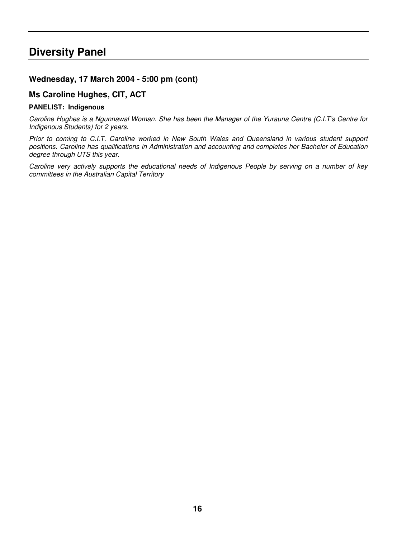# **Diversity Panel**

## **Wednesday, 17 March 2004 - 5:00 pm (cont)**

## **Ms Caroline Hughes, CIT, ACT**

### **PANELIST: Indigenous**

Caroline Hughes is a Ngunnawal Woman. She has been the Manager of the Yurauna Centre (C.I.T's Centre for *Indigenous Students) for 2 years.*

*Prior to coming to C.I.T. Caroline worked in New South Wales and Queensland in various student support positions. Caroline has qualifications in Administration and accounting and completes her Bachelor of Education degree through UTS this year.*

*Caroline very actively supports the educational needs of Indigenous People by serving on a number of key committees in the Australian Capital Territory*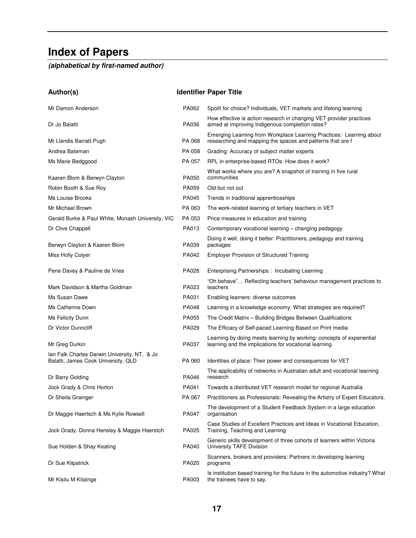# **Index of Papers**

*(alphabetical by first-named author)*

| Author(s)                                                                           |              | <b>Identifier Paper Title</b>                                                                                                     |
|-------------------------------------------------------------------------------------|--------------|-----------------------------------------------------------------------------------------------------------------------------------|
| Mr Damon Anderson                                                                   | PA062        | Spoilt for choice? Individuals, VET markets and lifelong learning                                                                 |
| Dr Jo Balatti                                                                       | PA036        | How effective is action research in changing VET provider practices<br>aimed at improving Indigenous completion rates?            |
| Mr Llandis Barratt-Pugh                                                             | PA 068       | Emerging Learning from Workplace Learning Practices: Learning about<br>researching and mapping the spaces and patterns that are f |
| Andrea Bateman                                                                      | PA 058       | Grading: Accuracy of subject matter experts                                                                                       |
| Ms Marie Bedggood                                                                   | PA 057       | RPL in enterprise-based RTOs: How does it work?                                                                                   |
| Kaaren Blom & Berwyn Clayton                                                        | PA050        | What works where you are? A snapshot of training in five rural<br>communities                                                     |
| Robin Booth & Sue Roy                                                               | PA059        | Old but not out                                                                                                                   |
| Ms Louise Brooks                                                                    | PA045        | Trends in traditional apprenticeships                                                                                             |
| Mr Michael Brown                                                                    | PA 063       | The work-related learning of tertiary teachers in VET                                                                             |
| Gerald Burke & Paul White, Monash University, VIC                                   | PA 053       | Price measures in education and training                                                                                          |
| Dr Clive Chappell                                                                   | PA013        | Contemporary vocational learning - changing pedagogy                                                                              |
| Berwyn Clayton & Kaaren Blom                                                        | PA039        | Doing it well, doing it better: Practitioners, pedagogy and training<br>packages                                                  |
| Miss Holly Colyer                                                                   | PA042        | <b>Employer Provision of Structured Training</b>                                                                                  |
| Pene Davey & Pauline de Vries                                                       | PA028        | Enterprising Partnerships: Incubating Learning                                                                                    |
| Mark Davidson & Martha Goldman                                                      | PA023        | "Oh behave" Reflecting teachers' behaviour management practices to<br>teachers                                                    |
| Ms Susan Dawe                                                                       | PA031        | Enabling learners: diverse outcomes                                                                                               |
| Ms Catherine Down                                                                   | PA048        | Learning in a knowledge economy: What strategies are required?                                                                    |
| Ms Felicity Dunn                                                                    | <b>PA055</b> | The Credit Matrix - Building Bridges Between Qualifications                                                                       |
| Dr Victor Dunncliff                                                                 | PA029        | The Efficacy of Self-paced Learning Based on Print media                                                                          |
| Mr Greg Durkin                                                                      | PA037        | Learning by doing meets learning by working: concepts of experiential<br>learning and the implications for vocational learning.   |
| Ian Falk Charles Darwin University, NT, & Jo<br>Balatti, James Cook University, QLD | PA 060       | Identities of place: Their power and consequences for VET                                                                         |
| Dr Barry Golding                                                                    | PA046        | The applicability of networks in Australian adult and vocational learning<br>research                                             |
| Jock Grady & Chris Horton                                                           | PA041        | Towards a distributed VET research model for regional Australia                                                                   |
| Dr Sheila Grainger                                                                  | PA 067       | Practitioners as Professionals: Revealing the Artistry of Expert Educators.                                                       |
| Dr Maggie Haertsch & Ms Kylie Rowsell                                               | PA047        | The development of a Student Feedback System in a large education<br>organisation                                                 |
| Jock Grady, Donna Hensley & Maggie Haerstch                                         | PA025        | Case Studies of Excellent Practices and Ideas in Vocational Education,<br>Training, Teaching and Learning                         |
| Sue Holden & Shay Keating                                                           | PA040        | Generic skills development of three cohorts of learners within Victoria<br>University TAFE Division                               |
| Dr Sue Kilpatrick                                                                   | PA020        | Scanners, brokers and providers: Partners in developing learning<br>programs                                                      |
| Mr Kisilu M Kitainge                                                                | PA003        | Is institution based training for the future in the automotive industry? What<br>the trainees have to say.                        |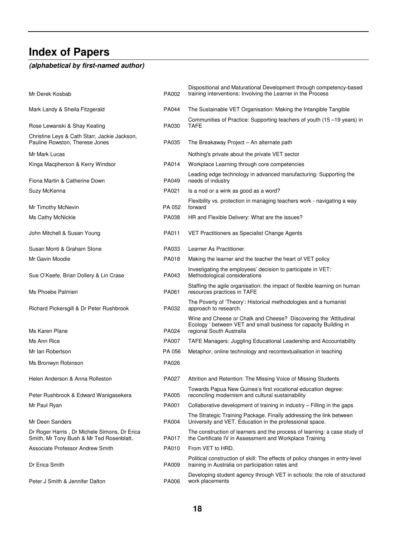# **Index of Papers**

# *(alphabetical by first-named author)*

| Mr Derek Kosbab                                                                          | PA002  | Dispositional and Maturational Development through competency-based<br>training interventions: Involving the Learner in the Process                                |
|------------------------------------------------------------------------------------------|--------|--------------------------------------------------------------------------------------------------------------------------------------------------------------------|
| Mark Landy & Sheila Fitzgerald                                                           | PA044  | The Sustainable VET Organisation: Making the Intangible Tangible                                                                                                   |
| Rose Lewanski & Shay Keating                                                             | PA030  | Communities of Practice: Supporting teachers of youth (15–19 years) in<br><b>TAFE</b>                                                                              |
| Christine Leys & Cath Starr, Jackie Jackson,<br>Pauline Rowston, Therese Jones           | PA035  | The Breakaway Project - An alternate path                                                                                                                          |
| Mr Mark Lucas                                                                            |        | Nothing's private about the private VET sector                                                                                                                     |
| Kinga Macpherson & Kerry Windsor                                                         | PA014  | Workplace Learning through core competencies                                                                                                                       |
| Fiona Martin & Catherine Down                                                            | PA049  | Leading edge technology in advanced manufacturing: Supporting the<br>needs of industry                                                                             |
| Suzy McKenna                                                                             | PA021  | Is a nod or a wink as good as a word?                                                                                                                              |
| Mr Timothy McNevin                                                                       | PA 052 | Flexibility vs. protection in managing teachers work - navigating a way<br>forward                                                                                 |
| Ms Cathy McNickle                                                                        | PA038  | HR and Flexible Delivery: What are the issues?                                                                                                                     |
| John Mitchell & Susan Young                                                              | PA011  | VET Practitioners as Specialist Change Agents                                                                                                                      |
| Susan Monti & Graham Stone                                                               | PA033  | Learner As Practitioner.                                                                                                                                           |
| Mr Gavin Moodie                                                                          | PA018  | Making the learner and the teacher the heart of VET policy                                                                                                         |
| Sue O'Keefe, Brian Dollery & Lin Crase                                                   | PA043  | Investigating the employees' decision to participate in VET:<br>Methodological considerations                                                                      |
| Ms Phoebe Palmieri                                                                       | PA061  | Staffing the agile organisation: the impact of flexible learning on human<br>resources practices in TAFE                                                           |
| Richard Pickersgill & Dr Peter Rushbrook                                                 | PA032  | The Poverty of 'Theory': Historical methodologies and a humanist<br>approach to research.                                                                          |
| Ms Karen Plane                                                                           | PA024  | Wine and Cheese or Chalk and Cheese? Discovering the 'Attitudinal<br>Ecology ' between VET and small business for capacity Building in<br>regional South Australia |
| Ms Ann Rice                                                                              | PA007  | TAFE Managers: Juggling Educational Leadership and Accountability                                                                                                  |
| Mr Ian Robertson                                                                         | PA 056 | Metaphor, online technology and recontextualisation in teaching                                                                                                    |
| Ms Bronwyn Robinson                                                                      | PA026  |                                                                                                                                                                    |
| Helen Anderson & Anna Rolleston                                                          | PA027  | Attrition and Retention: The Missing Voice of Missing Students                                                                                                     |
| Peter Rushbrook & Edward Wanigasekera                                                    | PA005  | Towards Papua New Guinea's first vocational education degree:<br>reconciling modernism and cultural sustainability                                                 |
| Mr Paul Ryan                                                                             | PA001  | Collaborative development of training in industry - Filling in the gaps                                                                                            |
| Mr Deen Sanders                                                                          | PA004  | The Strategic Training Package. Finally addressing the link between<br>University and VET. Education in the professional space.                                    |
| Dr Roger Harris, Dr Michele Simons, Dr Erica<br>Smith, Mr Tony Bush & Mr Ted Rosenblatt. | PA017  | The construction of learners and the process of learning: a case study of<br>the Certificate IV in Assessment and Workplace Training                               |
| <b>Associate Professor Andrew Smith</b>                                                  | PA010  | From VET to HRD.                                                                                                                                                   |
| Dr Erica Smith                                                                           | PA009  | Political construction of skill: The effects of policy changes in entry-level<br>training in Australia on participation rates and                                  |
| Peter J Smith & Jennifer Dalton                                                          | PA006  | Developing student agency through VET in schools: the role of structured<br>work placements                                                                        |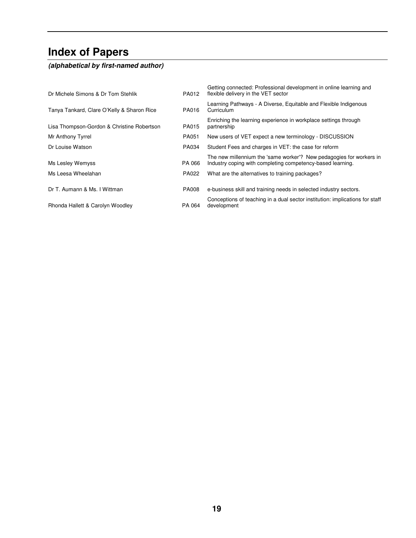# **Index of Papers**

# *(alphabetical by first-named author)*

| Dr Michele Simons & Dr Tom Stehlik         | PA012        | Getting connected: Professional development in online learning and<br>flexible delivery in the VET sector                         |
|--------------------------------------------|--------------|-----------------------------------------------------------------------------------------------------------------------------------|
| Tanya Tankard, Clare O'Kelly & Sharon Rice | PA016        | Learning Pathways - A Diverse, Equitable and Flexible Indigenous<br>Curriculum                                                    |
| Lisa Thompson-Gordon & Christine Robertson | <b>PA015</b> | Enriching the learning experience in workplace settings through<br>partnership                                                    |
| Mr Anthony Tyrrel                          | PA051        | New users of VET expect a new terminology - DISCUSSION                                                                            |
| Dr Louise Watson                           | PA034        | Student Fees and charges in VET: the case for reform                                                                              |
| Ms Lesley Wemyss                           | PA 066       | The new millennium the 'same worker'? New pedagogies for workers in<br>Industry coping with completing competency-based learning. |
| Ms Leesa Wheelahan                         | PA022        | What are the alternatives to training packages?                                                                                   |
| Dr T. Aumann & Ms. I Wittman               | <b>PA008</b> | e-business skill and training needs in selected industry sectors.                                                                 |
| Rhonda Hallett & Carolyn Woodley           | PA 064       | Conceptions of teaching in a dual sector institution: implications for staff<br>development                                       |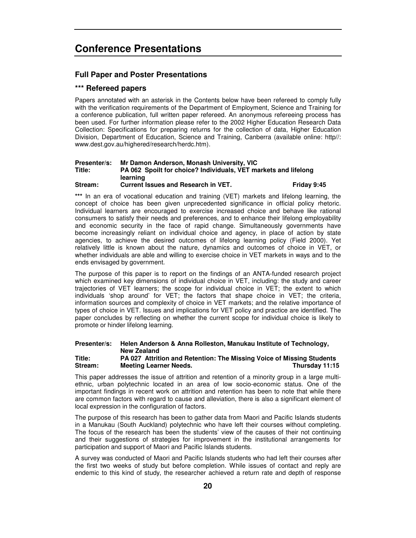## **Conference Presentations**

### **Full Paper and Poster Presentations**

### **\*\*\* Refereed papers**

Papers annotated with an asterisk in the Contents below have been refereed to comply fully with the verification requirements of the Department of Employment, Science and Training for a conference publication, full written paper refereed. An anonymous refereeing process has been used. For further information please refer to the 2002 Higher Education Research Data Collection: Specifications for preparing returns for the collection of data, Higher Education Division, Department of Education, Science and Training, Canberra (available online: http//: www.dest.gov.au/highered/research/herdc.htm).

### **Presenter/s: Mr Damon Anderson, Monash University, VIC Title: PA 062 Spoilt for choice? Individuals, VET markets and lifelong learning Stream: Current Issues and Research in VET. Friday 9:45**

**\*\*\*** In an era of vocational education and training (VET) markets and lifelong learning, the concept of choice has been given unprecedented significance in official policy rhetoric. Individual learners are encouraged to exercise increased choice and behave like rational consumers to satisfy their needs and preferences, and to enhance their lifelong employability and economic security in the face of rapid change. Simultaneously governments have become increasingly reliant on individual choice and agency, in place of action by state agencies, to achieve the desired outcomes of lifelong learning policy (Field 2000). Yet relatively little is known about the nature, dynamics and outcomes of choice in VET, or whether individuals are able and willing to exercise choice in VET markets in ways and to the ends envisaged by government.

The purpose of this paper is to report on the findings of an ANTA-funded research project which examined key dimensions of individual choice in VET, including: the study and career trajectories of VET learners; the scope for individual choice in VET; the extent to which individuals 'shop around' for VET; the factors that shape choice in VET; the criteria, information sources and complexity of choice in VET markets; and the relative importance of types of choice in VET. Issues and implications for VET policy and practice are identified. The paper concludes by reflecting on whether the current scope for individual choice is likely to promote or hinder lifelong learning.

## **Presenter/s: Helen Anderson & Anna Rolleston, Manukau Institute of Technology, New Zealand**

### **Title: PA 027 Attrition and Retention: The Missing Voice of Missing Students Stream: Meeting Learner Needs. Thursday 11:15**

This paper addresses the issue of attrition and retention of a minority group in a large multiethnic, urban polytechnic located in an area of low socio-economic status. One of the important findings in recent work on attrition and retention has been to note that while there are common factors with regard to cause and alleviation, there is also a significant element of local expression in the configuration of factors.

The purpose of this research has been to gather data from Maori and Pacific Islands students in a Manukau (South Auckland) polytechnic who have left their courses without completing. The focus of the research has been the students' view of the causes of their not continuing and their suggestions of strategies for improvement in the institutional arrangements for participation and support of Maori and Pacific Islands students.

A survey was conducted of Maori and Pacific Islands students who had left their courses after the first two weeks of study but before completion. While issues of contact and reply are endemic to this kind of study, the researcher achieved a return rate and depth of response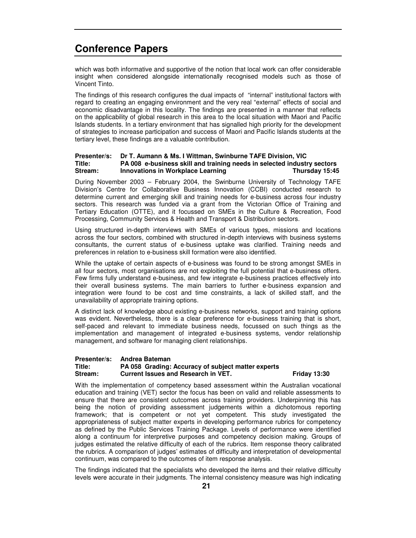which was both informative and supportive of the notion that local work can offer considerable insight when considered alongside internationally recognised models such as those of Vincent Tinto.

The findings of this research configures the dual impacts of "internal" institutional factors with regard to creating an engaging environment and the very real "external" effects of social and economic disadvantage in this locality. The findings are presented in a manner that reflects on the applicability of global research in this area to the local situation with Maori and Pacific Islands students. In a tertiary environment that has signalled high priority for the development of strategies to increase participation and success of Maori and Pacific Islands students at the tertiary level, these findings are a valuable contribution.

### **Presenter/s: Dr T. Aumann & Ms. I Wittman, Swinburne TAFE Division, VIC Title: PA 008 e-business skill and training needs in selected industry sectors Stream: Innovations in Workplace Learning Thursday 15:45**

During November 2003 – February 2004, the Swinburne University of Technology TAFE Division's Centre for Collaborative Business Innovation (CCBI) conducted research to determine current and emerging skill and training needs for e-business across four industry sectors. This research was funded via a grant from the Victorian Office of Training and Tertiary Education (OTTE), and it focussed on SMEs in the Culture & Recreation, Food Processing, Community Services & Health and Transport & Distribution sectors.

Using structured in-depth interviews with SMEs of various types, missions and locations across the four sectors, combined with structured in-depth interviews with business systems consultants, the current status of e-business uptake was clarified. Training needs and preferences in relation to e-business skill formation were also identified.

While the uptake of certain aspects of e-business was found to be strong amongst SMEs in all four sectors, most organisations are not exploiting the full potential that e-business offers. Few firms fully understand e-business, and few integrate e-business practices effectively into their overall business systems. The main barriers to further e-business expansion and integration were found to be cost and time constraints, a lack of skilled staff, and the unavailability of appropriate training options.

A distinct lack of knowledge about existing e-business networks, support and training options was evident. Nevertheless, there is a clear preference for e-business training that is short, self-paced and relevant to immediate business needs, focussed on such things as the implementation and management of integrated e-business systems, vendor relationship management, and software for managing client relationships.

### **Presenter/s: Andrea Bateman Title: PA 058 Grading: Accuracy of subject matter experts Stream: Current Issues and Research in VET. Friday 13:30**

With the implementation of competency based assessment within the Australian vocational education and training (VET) sector the focus has been on valid and reliable assessments to ensure that there are consistent outcomes across training providers. Underpinning this has being the notion of providing assessment judgements within a dichotomous reporting framework; that is competent or not yet competent. This study investigated the appropriateness of subject matter experts in developing performance rubrics for competency as defined by the Public Services Training Package. Levels of performance were identified along a continuum for interpretive purposes and competency decision making. Groups of judges estimated the relative difficulty of each of the rubrics. Item response theory calibrated the rubrics. A comparison of judges' estimates of difficulty and interpretation of developmental continuum, was compared to the outcomes of item response analysis.

The findings indicated that the specialists who developed the items and their relative difficulty levels were accurate in their judgments. The internal consistency measure was high indicating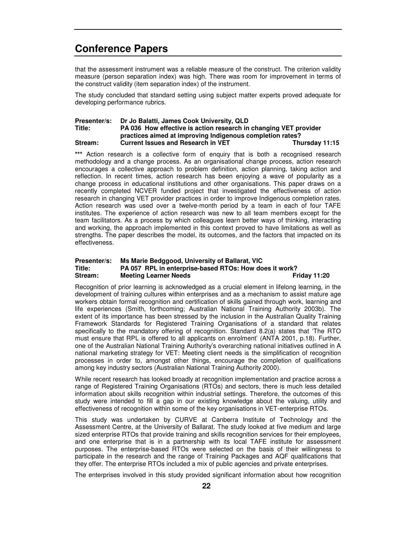that the assessment instrument was a reliable measure of the construct. The criterion validity measure (person separation index) was high. There was room for improvement in terms of the construct validity (item separation index) of the instrument.

The study concluded that standard setting using subject matter experts proved adequate for developing performance rubrics.

### **Presenter/s: Dr Jo Balatti, James Cook University, QLD Title: PA 036 How effective is action research in changing VET provider practices aimed at improving Indigenous completion rates? Stream: Current Issues and Research in VET Thursday 11:15**

\*\*\* Action research is a collective form of enquiry that is both a recognised research methodology and a change process. As an organisational change process, action research encourages a collective approach to problem definition, action planning, taking action and reflection. In recent times, action research has been enjoying a wave of popularity as a change process in educational institutions and other organisations. This paper draws on a recently completed NCVER funded project that investigated the effectiveness of action research in changing VET provider practices in order to improve Indigenous completion rates. Action research was used over a twelve-month period by a team in each of four TAFE institutes. The experience of action research was new to all team members except for the team facilitators. As a process by which colleagues learn better ways of thinking, interacting and working, the approach implemented in this context proved to have limitations as well as strengths. The paper describes the model, its outcomes, and the factors that impacted on its effectiveness.

### **Presenter/s: Ms Marie Bedggood, University of Ballarat, VIC Title: PA 057 RPL in enterprise-based RTOs: How does it work? Meeting Learner Needs**

Recognition of prior learning is acknowledged as a crucial element in lifelong learning, in the development of training cultures within enterprises and as a mechanism to assist mature age workers obtain formal recognition and certification of skills gained through work, learning and life experiences (Smith, forthcoming; Australian National Training Authority 2003b). The extent of its importance has been stressed by the inclusion in the Australian Quality Training Framework Standards for Registered Training Organisations of a standard that relates specifically to the mandatory offering of recognition. Standard 8.2(a) states that 'The RTO must ensure that RPL is offered to all applicants on enrolment' (ANTA 2001, p.18). Further, one of the Australian National Training Authority's overarching national initiatives outlined in A national marketing strategy for VET: Meeting client needs is the simplification of recognition processes in order to, amongst other things, encourage the completion of qualifications among key industry sectors (Australian National Training Authority 2000).

While recent research has looked broadly at recognition implementation and practice across a range of Registered Training Organisations (RTOs) and sectors, there is much less detailed information about skills recognition within industrial settings. Therefore, the outcomes of this study were intended to fill a gap in our existing knowledge about the valuing, utility and effectiveness of recognition within some of the key organisations in VET-enterprise RTOs.

This study was undertaken by CURVE at Canberra Institute of Technology and the Assessment Centre, at the University of Ballarat. The study looked at five medium and large sized enterprise RTOs that provide training and skills recognition services for their employees, and one enterprise that is in a partnership with its local TAFE institute for assessment purposes. The enterprise-based RTOs were selected on the basis of their willingness to participate in the research and the range of Training Packages and AQF qualifications that they offer. The enterprise RTOs included a mix of public agencies and private enterprises.

The enterprises involved in this study provided significant information about how recognition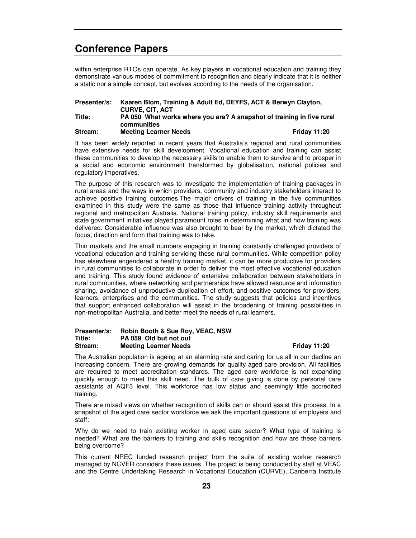within enterprise RTOs can operate. As key players in vocational education and training they demonstrate various modes of commitment to recognition and clearly indicate that it is neither a static nor a simple concept, but evolves according to the needs of the organisation.

| Presenter/s: | Kaaren Blom, Training & Adult Ed, DEYFS, ACT & Berwyn Clayton,                       |                     |
|--------------|--------------------------------------------------------------------------------------|---------------------|
|              | <b>CURVE, CIT, ACT</b>                                                               |                     |
| Title:       | PA 050 What works where you are? A snapshot of training in five rural<br>communities |                     |
| Stream:      | <b>Meeting Learner Needs</b>                                                         | <b>Friday 11:20</b> |

It has been widely reported in recent years that Australia's regional and rural communities have extensive needs for skill development. Vocational education and training can assist these communities to develop the necessary skills to enable them to survive and to prosper in a social and economic environment transformed by globalisation, national policies and regulatory imperatives.

The purpose of this research was to investigate the implementation of training packages in rural areas and the ways in which providers, community and industry stakeholders interact to achieve positive training outcomes.The major drivers of training in the five communities examined in this study were the same as those that influence training activity throughout regional and metropolitan Australia. National training policy, industry skill requirements and state government initiatives played paramount roles in determining what and how training was delivered. Considerable influence was also brought to bear by the market, which dictated the focus, direction and form that training was to take.

Thin markets and the small numbers engaging in training constantly challenged providers of vocational education and training servicing these rural communities. While competition policy has elsewhere engendered a healthy training market, it can be more productive for providers in rural communities to collaborate in order to deliver the most effective vocational education and training. This study found evidence of extensive collaboration between stakeholders in rural communities, where networking and partnerships have allowed resource and information sharing, avoidance of unproductive duplication of effort, and positive outcomes for providers, learners, enterprises and the communities. The study suggests that policies and incentives that support enhanced collaboration will assist in the broadening of training possibilities in non-metropolitan Australia, and better meet the needs of rural learners.

### **Presenter/s: Robin Booth & Sue Roy, VEAC, NSW Title: PA 059 Old but not out Stream: Meeting Learner Needs Friday 11:20**

The Australian population is ageing at an alarming rate and caring for us all in our decline an increasing concern. There are growing demands for quality aged care provision. All facilities are required to meet accreditation standards. The aged care workforce is not expanding quickly enough to meet this skill need. The bulk of care giving is done by personal care assistants at AQF3 level. This workforce has low status and seemingly little accredited training.

There are mixed views on whether recognition of skills can or should assist this process. In a snapshot of the aged care sector workforce we ask the important questions of employers and staff:

Why do we need to train existing worker in aged care sector? What type of training is needed? What are the barriers to training and skills recognition and how are these barriers being overcome?

This current NREC funded research project from the suite of existing worker research managed by NCVER considers these issues. The project is being conducted by staff at VEAC and the Centre Undertaking Research in Vocational Education (CURVE), Canberra Institute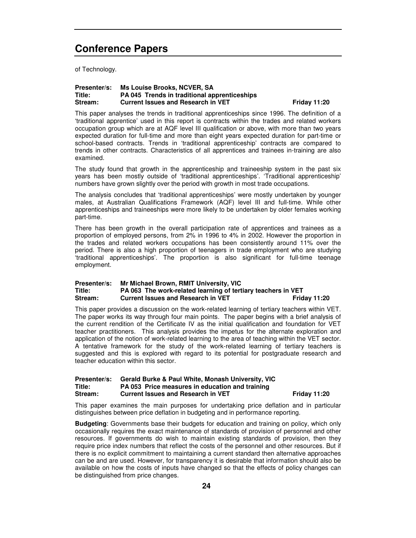of Technology.

### **Presenter/s: Ms Louise Brooks, NCVER, SA Title: PA 045 Trends in traditional apprenticeships Stream: Current Issues and Research in VET Friday 11:20**

This paper analyses the trends in traditional apprenticeships since 1996. The definition of a 'traditional apprentice' used in this report is contracts within the trades and related workers occupation group which are at AQF level III qualification or above, with more than two years expected duration for full-time and more than eight years expected duration for part-time or school-based contracts. Trends in 'traditional apprenticeship' contracts are compared to trends in other contracts. Characteristics of all apprentices and trainees in-training are also examined.

The study found that growth in the apprenticeship and traineeship system in the past six years has been mostly outside of 'traditional apprenticeships'. 'Traditional apprenticeship' numbers have grown slightly over the period with growth in most trade occupations.

The analysis concludes that 'traditional apprenticeships' were mostly undertaken by younger males, at Australian Qualifications Framework (AQF) level III and full-time. While other apprenticeships and traineeships were more likely to be undertaken by older females working part-time.

There has been growth in the overall participation rate of apprentices and trainees as a proportion of employed persons, from 2% in 1996 to 4% in 2002. However the proportion in the trades and related workers occupations has been consistently around 11% over the period. There is also a high proportion of teenagers in trade employment who are studying 'traditional apprenticeships'. The proportion is also significant for full-time teenage employment.

### **Presenter/s: Mr Michael Brown, RMIT University, VIC Title: PA 063 The work-related learning of tertiary teachers in VET Current Issues and Research in VET**

This paper provides a discussion on the work-related learning of tertiary teachers within VET. The paper works its way through four main points. The paper begins with a brief analysis of the current rendition of the Certificate IV as the initial qualification and foundation for VET teacher practitioners. This analysis provides the impetus for the alternate exploration and application of the notion of work-related learning to the area of teaching within the VET sector. A tentative framework for the study of the work-related learning of tertiary teachers is suggested and this is explored with regard to its potential for postgraduate research and teacher education within this sector.

### **Presenter/s: Gerald Burke & Paul White, Monash University, VIC Title: PA 053 Price measures in education and training Stream: Current Issues and Research in VET Friday 11:20**

This paper examines the main purposes for undertaking price deflation and in particular distinguishes between price deflation in budgeting and in performance reporting.

**Budgeting**: Governments base their budgets for education and training on policy, which only occasionally requires the exact maintenance of standards of provision of personnel and other resources. If governments do wish to maintain existing standards of provision, then they require price index numbers that reflect the costs of the personnel and other resources. But if there is no explicit commitment to maintaining a current standard then alternative approaches can be and are used. However, for transparency it is desirable that information should also be available on how the costs of inputs have changed so that the effects of policy changes can be distinguished from price changes.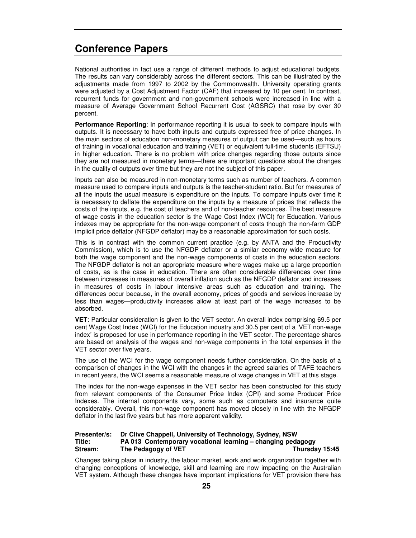National authorities in fact use a range of different methods to adjust educational budgets. The results can vary considerably across the different sectors. This can be illustrated by the adjustments made from 1997 to 2002 by the Commonwealth. University operating grants were adjusted by a Cost Adjustment Factor (CAF) that increased by 10 per cent. In contrast, recurrent funds for government and non-government schools were increased in line with a measure of Average Government School Recurrent Cost (AGSRC) that rose by over 30 percent.

**Performance Reporting**: In performance reporting it is usual to seek to compare inputs with outputs. It is necessary to have both inputs and outputs expressed free of price changes. In the main sectors of education non-monetary measures of output can be used—such as hours of training in vocational education and training (VET) or equivalent full-time students (EFTSU) in higher education. There is no problem with price changes regarding those outputs since they are not measured in monetary terms—there are important questions about the changes in the quality of outputs over time but they are not the subject of this paper.

Inputs can also be measured in non-monetary terms such as number of teachers. A common measure used to compare inputs and outputs is the teacher-student ratio. But for measures of all the inputs the usual measure is expenditure on the inputs. To compare inputs over time it is necessary to deflate the expenditure on the inputs by a measure of prices that reflects the costs of the inputs, e.g. the cost of teachers and of non-teacher resources. The best measure of wage costs in the education sector is the Wage Cost Index (WCI) for Education. Various indexes may be appropriate for the non-wage component of costs though the non-farm GDP implicit price deflator (NFGDP deflator) may be a reasonable approximation for such costs.

This is in contrast with the common current practice (e.g. by ANTA and the Productivity Commission), which is to use the NFGDP deflator or a similar economy wide measure for both the wage component and the non-wage components of costs in the education sectors. The NFGDP deflator is not an appropriate measure where wages make up a large proportion of costs, as is the case in education. There are often considerable differences over time between increases in measures of overall inflation such as the NFGDP deflator and increases in measures of costs in labour intensive areas such as education and training. The differences occur because, in the overall economy, prices of goods and services increase by less than wages—productivity increases allow at least part of the wage increases to be absorbed.

**VET**: Particular consideration is given to the VET sector. An overall index comprising 69.5 per cent Wage Cost Index (WCI) for the Education industry and 30.5 per cent of a 'VET non-wage index' is proposed for use in performance reporting in the VET sector. The percentage shares are based on analysis of the wages and non-wage components in the total expenses in the VET sector over five years.

The use of the WCI for the wage component needs further consideration. On the basis of a comparison of changes in the WCI with the changes in the agreed salaries of TAFE teachers in recent years, the WCI seems a reasonable measure of wage changes in VET at this stage.

The index for the non-wage expenses in the VET sector has been constructed for this study from relevant components of the Consumer Price Index (CPI) and some Producer Price Indexes. The internal components vary, some such as computers and insurance quite considerably. Overall, this non-wage component has moved closely in line with the NFGDP deflator in the last five years but has more apparent validity.

### **Presenter/s: Dr Clive Chappell, University of Technology, Sydney, NSW Title: PA 013 Contemporary vocational learning – changing pedagogy Strange The Pedagogy of VET Thursday** 15:45

Changes taking place in industry, the labour market, work and work organization together with changing conceptions of knowledge, skill and learning are now impacting on the Australian VET system. Although these changes have important implications for VET provision there has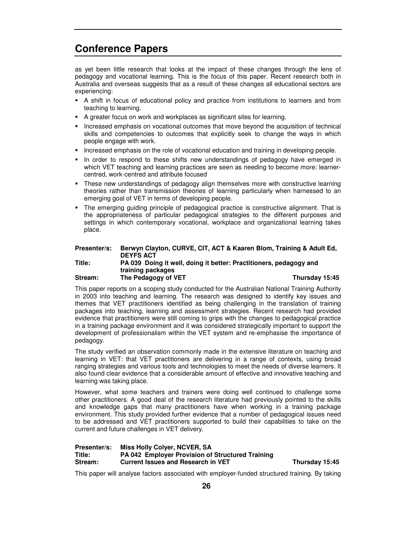as yet been little research that looks at the impact of these changes through the lens of pedagogy and vocational learning. This is the focus of this paper. Recent research both in Australia and overseas suggests that as a result of these changes all educational sectors are experiencing:

- A shift in focus of educational policy and practice from institutions to learners and from teaching to learning.
- A greater focus on work and workplaces as significant sites for learning.
- Increased emphasis on vocational outcomes that move beyond the acquisition of technical skills and competencies to outcomes that explicitly seek to change the ways in which people engage with work.
- Increased emphasis on the role of vocational education and training in developing people.
- In order to respond to these shifts new understandings of pedagogy have emerged in which VET teaching and learning practices are seen as needing to become more: learnercentred, work-centred and attribute focused
- These new understandings of pedagogy align themselves more with constructive learning theories rather than transmission theories of learning particularly when harnessed to an emerging goal of VET in terms of developing people.
- The emerging guiding principle of pedagogical practice is constructive alignment. That is the appropriateness of particular pedagogical strategies to the different purposes and settings in which contemporary vocational, workplace and organizational learning takes place.

### **Presenter/s: Berwyn Clayton, CURVE, CIT, ACT & Kaaren Blom, Training & Adult Ed, DEYFS ACT Title: PA 039 Doing it well, doing it better: Practitioners, pedagogy and training packages Stream: The Pedagogy of VET Thursday 15:45**

This paper reports on a scoping study conducted for the Australian National Training Authority in 2003 into teaching and learning. The research was designed to identify key issues and themes that VET practitioners identified as being challenging in the translation of training packages into teaching, learning and assessment strategies. Recent research had provided evidence that practitioners were still coming to grips with the changes to pedagogical practice in a training package environment and it was considered strategically important to support the development of professionalism within the VET system and re-emphasise the importance of pedagogy.

The study verified an observation commonly made in the extensive literature on teaching and learning in VET: that VET practitioners are delivering in a range of contexts, using broad ranging strategies and various tools and technologies to meet the needs of diverse learners. It also found clear evidence that a considerable amount of effective and innovative teaching and learning was taking place.

However, what some teachers and trainers were doing well continued to challenge some other practitioners. A good deal of the research literature had previously pointed to the skills and knowledge gaps that many practitioners have when working in a training package environment. This study provided further evidence that a number of pedagogical issues need to be addressed and VET practitioners supported to build their capabilities to take on the current and future challenges in VET delivery.

### **Presenter/s: Miss Holly Colyer, NCVER, SA Title: PA 042 Employer Provision of Structured Training Stream: Current Issues and Research in VET Thursday 15:45**

This paper will analyse factors associated with employer-funded structured training. By taking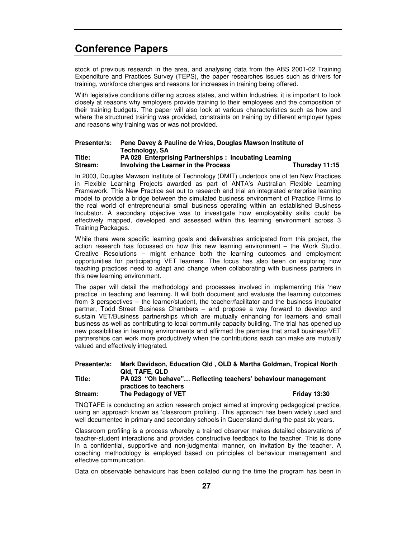stock of previous research in the area, and analysing data from the ABS 2001-02 Training Expenditure and Practices Survey (TEPS), the paper researches issues such as drivers for training, workforce changes and reasons for increases in training being offered.

With legislative conditions differing across states, and within Industries, it is important to look closely at reasons why employers provide training to their employees and the composition of their training budgets. The paper will also look at various characteristics such as how and where the structured training was provided, constraints on training by different employer types and reasons why training was or was not provided.

### **Presenter/s: Pene Davey & Pauline de Vries, Douglas Mawson Institute of Technology, SA Title: PA 028 Enterprising Partnerships : Incubating Learning Stream: Involving the Learner in the Process Thursday 11:15**

In 2003, Douglas Mawson Institute of Technology (DMIT) undertook one of ten New Practices in Flexible Learning Projects awarded as part of ANTA's Australian Flexible Learning Framework. This New Practice set out to research and trial an integrated enterprise learning model to provide a bridge between the simulated business environment of Practice Firms to the real world of entrepreneurial small business operating within an established Business Incubator. A secondary objective was to investigate how employability skills could be effectively mapped, developed and assessed within this learning environment across 3 Training Packages.

While there were specific learning goals and deliverables anticipated from this project, the action research has focussed on how this new learning environment – the Work Studio, Creative Resolutions – might enhance both the learning outcomes and employment opportunities for participating VET learners. The focus has also been on exploring how teaching practices need to adapt and change when collaborating with business partners in this new learning environment.

The paper will detail the methodology and processes involved in implementing this 'new practice' in teaching and learning. It will both document and evaluate the learning outcomes from 3 perspectives – the learner/student, the teacher/facilitator and the business incubator partner, Todd Street Business Chambers – and propose a way forward to develop and sustain VET/Business partnerships which are mutually enhancing for learners and small business as well as contributing to local community capacity building. The trial has opened up new possibilities in learning environments and affirmed the premise that small business/VET partnerships can work more productively when the contributions each can make are mutually valued and effectively integrated.

| Presenter/s: | Mark Davidson, Education Qld, QLD & Martha Goldman, Tropical North                    |                     |
|--------------|---------------------------------------------------------------------------------------|---------------------|
|              | QId. TAFE. QLD                                                                        |                     |
| Title:       | PA 023 "Oh behave" Reflecting teachers' behaviour management<br>practices to teachers |                     |
| Stream:      | The Pedagogy of VET                                                                   | <b>Friday 13:30</b> |

TNQTAFE is conducting an action research project aimed at improving pedagogical practice, using an approach known as 'classroom profiling'. This approach has been widely used and well documented in primary and secondary schools in Queensland during the past six years.

Classroom profiling is a process whereby a trained observer makes detailed observations of teacher-student interactions and provides constructive feedback to the teacher. This is done in a confidential, supportive and non-judgmental manner, on invitation by the teacher. A coaching methodology is employed based on principles of behaviour management and effective communication.

Data on observable behaviours has been collated during the time the program has been in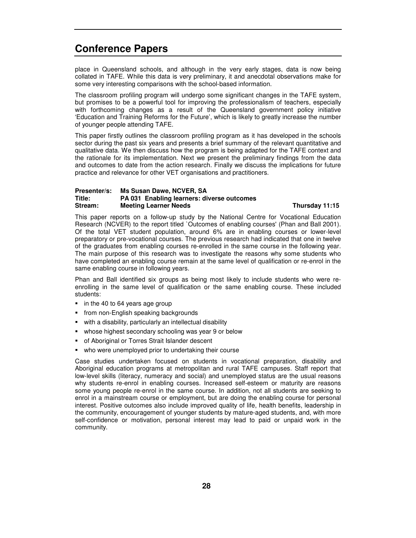place in Queensland schools, and although in the very early stages, data is now being collated in TAFE. While this data is very preliminary, it and anecdotal observations make for some very interesting comparisons with the school-based information.

The classroom profiling program will undergo some significant changes in the TAFE system, but promises to be a powerful tool for improving the professionalism of teachers, especially with forthcoming changes as a result of the Queensland government policy initiative 'Education and Training Reforms for the Future', which is likely to greatly increase the number of younger people attending TAFE.

This paper firstly outlines the classroom profiling program as it has developed in the schools sector during the past six years and presents a brief summary of the relevant quantitative and qualitative data. We then discuss how the program is being adapted for the TAFE context and the rationale for its implementation. Next we present the preliminary findings from the data and outcomes to date from the action research. Finally we discuss the implications for future practice and relevance for other VET organisations and practitioners.

### **Presenter/s: Ms Susan Dawe, NCVER, SA Title: PA 031 Enabling learners: diverse outcomes Stream: Meeting Learner Needs Thursday 11:15**

This paper reports on a follow-up study by the National Centre for Vocational Education Research (NCVER) to the report titled `Outcomes of enabling courses'(Phan and Ball 2001). Of the total VET student population, around 6% are in enabling courses or lower-level preparatory or pre-vocational courses. The previous research had indicated that one in twelve of the graduates from enabling courses re-enrolled in the same course in the following year. The main purpose of this research was to investigate the reasons why some students who have completed an enabling course remain at the same level of qualification or re-enrol in the same enabling course in following years.

Phan and Ball identified six groups as being most likely to include students who were reenrolling in the same level of qualification or the same enabling course. These included students:

- in the 40 to 64 years age group
- **from non-English speaking backgrounds**
- with a disability, particularly an intellectual disability
- whose highest secondary schooling was year 9 or below
- of Aboriginal or Torres Strait Islander descent
- who were unemployed prior to undertaking their course

Case studies undertaken focused on students in vocational preparation, disability and Aboriginal education programs at metropolitan and rural TAFE campuses. Staff report that low-level skills (literacy, numeracy and social) and unemployed status are the usual reasons why students re-enrol in enabling courses. Increased self-esteem or maturity are reasons some young people re-enrol in the same course. In addition, not all students are seeking to enrol in a mainstream course or employment, but are doing the enabling course for personal interest. Positive outcomes also include improved quality of life, health benefits, leadership in the community, encouragement of younger students by mature-aged students, and, with more self-confidence or motivation, personal interest may lead to paid or unpaid work in the community.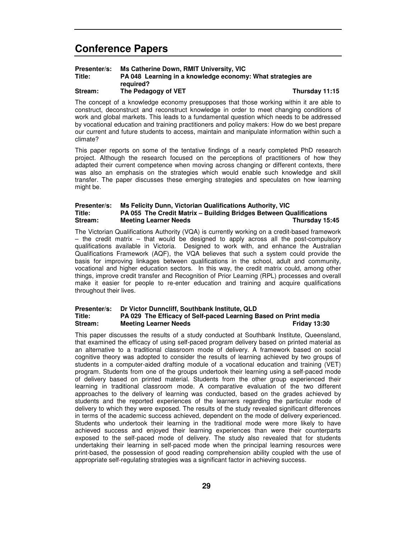| Presenter/s: | Ms Catherine Down, RMIT University, VIC                     |                |
|--------------|-------------------------------------------------------------|----------------|
| Title:       | PA 048 Learning in a knowledge economy: What strategies are |                |
|              | reguired?                                                   |                |
| Stream:      | The Pedagogy of VET                                         | Thursday 11:15 |

The concept of a knowledge economy presupposes that those working within it are able to construct, deconstruct and reconstruct knowledge in order to meet changing conditions of work and global markets. This leads to a fundamental question which needs to be addressed by vocational education and training practitioners and policy makers: How do we best prepare our current and future students to access, maintain and manipulate information within such a climate?

This paper reports on some of the tentative findings of a nearly completed PhD research project. Although the research focused on the perceptions of practitioners of how they adapted their current competence when moving across changing or different contexts, there was also an emphasis on the strategies which would enable such knowledge and skill transfer. The paper discusses these emerging strategies and speculates on how learning might be.

### **Presenter/s: Ms Felicity Dunn, Victorian Qualifications Authority, VIC Title: PA 055 The Credit Matrix – Building Bridges Between Qualifications Stream: Meeting Learner Needs Thursday 15:45**

The Victorian Qualifications Authority (VQA) is currently working on a credit-based framework – the credit matrix – that would be designed to apply across all the post-compulsory qualifications available in Victoria. Designed to work with, and enhance the Australian Qualifications Framework (AQF), the VQA believes that such a system could provide the basis for improving linkages between qualifications in the school, adult and community, vocational and higher education sectors. In this way, the credit matrix could, among other things, improve credit transfer and Recognition of Prior Learning (RPL) processes and overall make it easier for people to re-enter education and training and acquire qualifications throughout their lives.

### **Presenter/s: Dr Victor Dunncliff, Southbank Institute, QLD Title: PA 029 The Efficacy of Self-paced Learning Based on Print media Stream: Meeting Learner Needs Friday 13:30**

This paper discusses the results of a study conducted at Southbank Institute, Queensland, that examined the efficacy of using self-paced program delivery based on printed material as an alternative to a traditional classroom mode of delivery. A framework based on social cognitive theory was adopted to consider the results of learning achieved by two groups of students in a computer-aided drafting module of a vocational education and training (VET) program. Students from one of the groups undertook their learning using a self-paced mode of delivery based on printed material. Students from the other group experienced their learning in traditional classroom mode. A comparative evaluation of the two different approaches to the delivery of learning was conducted, based on the grades achieved by students and the reported experiences of the learners regarding the particular mode of delivery to which they were exposed. The results of the study revealed significant differences in terms of the academic success achieved, dependent on the mode of delivery experienced. Students who undertook their learning in the traditional mode were more likely to have achieved success and enjoyed their learning experiences than were their counterparts exposed to the self-paced mode of delivery. The study also revealed that for students undertaking their learning in self-paced mode when the principal learning resources were print-based, the possession of good reading comprehension ability coupled with the use of appropriate self-regulating strategies was a significant factor in achieving success.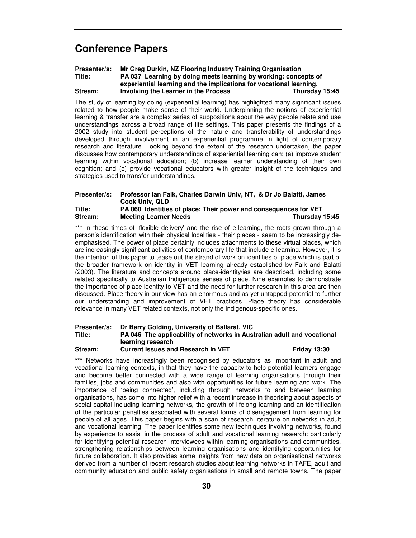### **Presenter/s: Mr Greg Durkin, NZ Flooring Industry Training Organisation Title: PA 037 Learning by doing meets learning by working: concepts of experiential learning and the implications for vocational learning. Stream: Involving the Learner in the Process Thursday 15:45**

The study of learning by doing (experiential learning) has highlighted many significant issues related to how people make sense of their world. Underpinning the notions of experiential learning & transfer are a complex series of suppositions about the way people relate and use understandings across a broad range of life settings. This paper presents the findings of a 2002 study into student perceptions of the nature and transferability of understandings developed through involvement in an experiential programme in light of contemporary research and literature. Looking beyond the extent of the research undertaken, the paper discusses how contemporary understandings of experiential learning can: (a) improve student learning within vocational education; (b) increase learner understanding of their own cognition; and (c) provide vocational educators with greater insight of the techniques and strategies used to transfer understandings.

### **Presenter/s: Professor Ian Falk, Charles Darwin Univ, NT, & Dr Jo Balatti, James Cook Univ, QLD Title: PA 060 Identities of place: Their power and consequences for VET Stream: Meeting Learner Needs Thursday 15:45**

\*\*\* In these times of 'flexible delivery' and the rise of e-learning, the roots grown through a person's identification with their physical localities - their places - seem to be increasingly deemphasised. The power of place certainly includes attachments to these virtual places, which are increasingly significant activities of contemporary life that include e-learning. However, it is the intention of this paper to tease out the strand of work on identities of place which is part of the broader framework on identity in VET learning already established by Falk and Balatti (2003). The literature and concepts around place-identity/ies are described, including some related specifically to Australian Indigenous senses of place. Nine examples to demonstrate the importance of place identity to VET and the need for further research in this area are then discussed. Place theory in our view has an enormous and as yet untapped potential to further our understanding and improvement of VET practices. Place theory has considerable relevance in many VET related contexts, not only the Indigenous-specific ones.

### **Presenter/s: Dr Barry Golding, University of Ballarat, VIC Title: PA 046 The applicability of networks in Australian adult and vocational learning research Stream: Current Issues and Research in VET Friday 13:30**

**\*\*\*** Networks have increasingly been recognised by educators as important in adult and vocational learning contexts, in that they have the capacity to help potential learners engage and become better connected with a wide range of learning organisations through their families, jobs and communities and also with opportunities for future learning and work. The importance of 'being connected', including through networks to and between learning organisations, has come into higher relief with a recent increase in theorising about aspects of social capital including learning networks, the growth of lifelong learning and an identification of the particular penalties associated with several forms of disengagement from learning for people of all ages. This paper begins with a scan of research literature on networks in adult and vocational learning. The paper identifies some new techniques involving networks, found by experience to assist in the process of adult and vocational learning research: particularly for identifying potential research interviewees within learning organisations and communities, strengthening relationships between learning organisations and identifying opportunities for future collaboration. It also provides some insights from new data on organisational networks derived from a number of recent research studies about learning networks in TAFE, adult and community education and public safety organisations in small and remote towns. The paper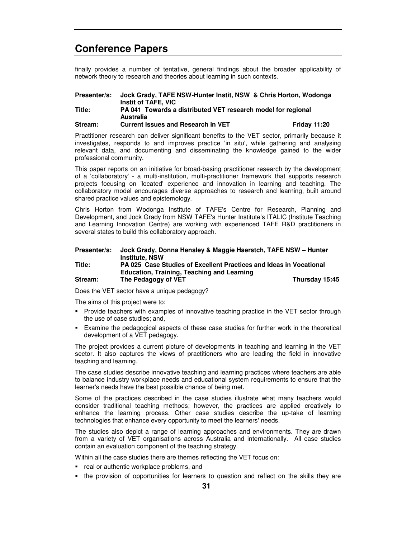finally provides a number of tentative, general findings about the broader applicability of network theory to research and theories about learning in such contexts.

| Presenter/s: | Jock Grady, TAFE NSW-Hunter Instit, NSW & Chris Horton, Wodonga |                     |
|--------------|-----------------------------------------------------------------|---------------------|
|              | Instit of TAFE, VIC                                             |                     |
| Title:       | PA 041 Towards a distributed VET research model for regional    |                     |
|              | Australia                                                       |                     |
| Stream:      | <b>Current Issues and Research in VET</b>                       | <b>Friday 11:20</b> |

Practitioner research can deliver significant benefits to the VET sector, primarily because it investigates, responds to and improves practice 'in situ', while gathering and analysing relevant data, and documenting and disseminating the knowledge gained to the wider professional community.

This paper reports on an initiative for broad-basing practitioner research by the development of a 'collaboratory'- a multi-institution, multi-practitioner framework that supports research projects focusing on 'located'experience and innovation in learning and teaching. The collaboratory model encourages diverse approaches to research and learning, built around shared practice values and epistemology.

Chris Horton from Wodonga Institute of TAFE's Centre for Research, Planning and Development, and Jock Grady from NSW TAFE's Hunter Institute's ITALIC (Institute Teaching and Learning Innovation Centre) are working with experienced TAFE R&D practitioners in several states to build this collaboratory approach.

| Presenter/s: | Jock Grady, Donna Hensley & Maggie Haerstch, TAFE NSW - Hunter     |                |
|--------------|--------------------------------------------------------------------|----------------|
|              | <b>Institute, NSW</b>                                              |                |
| Title:       | PA 025 Case Studies of Excellent Practices and Ideas in Vocational |                |
|              | <b>Education, Training, Teaching and Learning</b>                  |                |
| Stream:      | The Pedagogy of VET                                                | Thursday 15:45 |

Does the VET sector have a unique pedagogy?

The aims of this project were to:

- Provide teachers with examples of innovative teaching practice in the VET sector through the use of case studies; and,
- Examine the pedagogical aspects of these case studies for further work in the theoretical development of a VET pedagogy.

The project provides a current picture of developments in teaching and learning in the VET sector. It also captures the views of practitioners who are leading the field in innovative teaching and learning.

The case studies describe innovative teaching and learning practices where teachers are able to balance industry workplace needs and educational system requirements to ensure that the learner's needs have the best possible chance of being met.

Some of the practices described in the case studies illustrate what many teachers would consider traditional teaching methods; however, the practices are applied creatively to enhance the learning process. Other case studies describe the up-take of learning technologies that enhance every opportunity to meet the learners'needs.

The studies also depict a range of learning approaches and environments. They are drawn from a variety of VET organisations across Australia and internationally. All case studies contain an evaluation component of the teaching strategy.

Within all the case studies there are themes reflecting the VET focus on:

- **•** real or authentic workplace problems, and
- the provision of opportunities for learners to question and reflect on the skills they are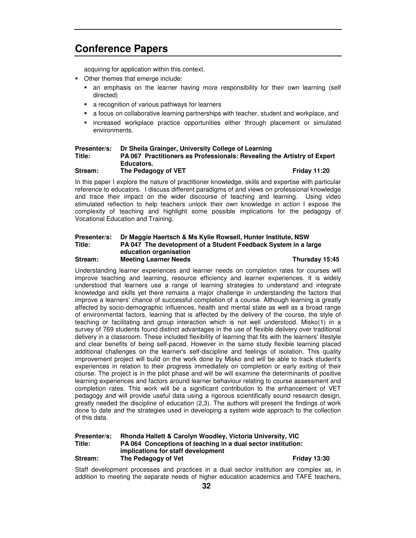acquiring for application within this context.

- Other themes that emerge include:
	- an emphasis on the learner having more responsibility for their own learning (self directed)
	- **a** recognition of various pathways for learners
	- a focus on collaborative learning partnerships with teacher, student and workplace, and
	- increased workplace practice opportunities either through placement or simulated environments.

### **Presenter/s: Dr Sheila Grainger, University College of Learning Title: PA 067 Practitioners as Professionals: Revealing the Artistry of Expert Educators.**

**Stream: The Pedagogy of VET Friday 11:20**

In this paper I explore the nature of practitioner knowledge, skills and expertise with particular reference to educators. I discuss different paradigms of and views on professional knowledge and trace their impact on the wider discourse of teaching and learning. Using video stimulated reflection to help teachers unlock their own knowledge in action I expose the complexity of teaching and highlight some possible implications for the pedagogy of Vocational Education and Training.

### **Presenter/s: Dr Maggie Haertsch & Ms Kylie Rowsell, Hunter Institute, NSW Title: PA 047 The development of a Student Feedback System in a large education organisation Stream: Meeting Learner Needs Thursday 15:45**

Understanding learner experiences and learner needs on completion rates for courses will improve teaching and learning, resource efficiency and learner experiences. It is widely understood that learners use a range of learning strategies to understand and integrate knowledge and skills yet there remains a major challenge in understanding the factors that improve a learners'chance of successful completion of a course. Although learning is greatly affected by socio-demographic influences, health and mental state as well as a broad range of environmental factors, learning that is affected by the delivery of the course, the style of teaching or facilitating and group interaction which is not well understood. Misko(1) in a survey of 769 students found distinct advantages in the use of flexible delivery over traditional delivery in a classroom. These included flexibility of learning that fits with the learners' lifestyle and clear benefits of being self-paced. However in the same study flexible learning placed additional challenges on the learner's self-discipline and feelings of isolation. This quality improvement project will build on the work done by Misko and will be able to track student's experiences in relation to their progress immediately on completion or early exiting of their course. The project is in the pilot phase and will be will examine the determinants of positive learning experiences and factors around learner behaviour relating to course assessment and completion rates. This work will be a significant contribution to the enhancement of VET pedagogy and will provide useful data using a rigorous scientifically sound research design, greatly needed the discipline of education (2,3). The authors will present the findings of work done to date and the strategies used in developing a system wide approach to the collection of this data.

### **Presenter/s: Rhonda Hallett & Carolyn Woodley, Victoria University, VIC Title: PA 064 Conceptions of teaching in a dual sector institution: implications for staff development Stream: The Pedagogy of Vet Friday 13:30**

Staff development processes and practices in a dual sector institution are complex as, in addition to meeting the separate needs of higher education academics and TAFE teachers,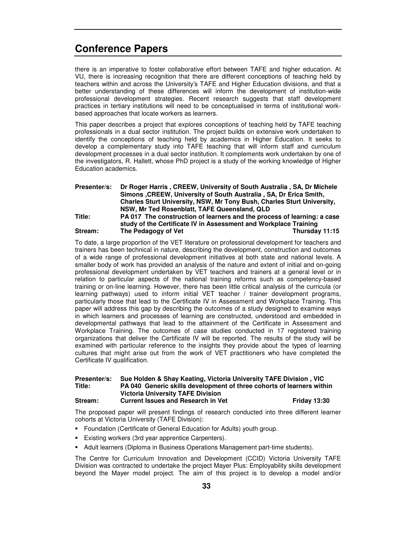there is an imperative to foster collaborative effort between TAFE and higher education. At VU, there is increasing recognition that there are different conceptions of teaching held by teachers within and across the University's TAFE and Higher Education divisions, and that a better understanding of these differences will inform the development of institution-wide professional development strategies. Recent research suggests that staff development practices in tertiary institutions will need to be conceptualised in terms of institutional workbased approaches that locate workers as learners.

This paper describes a project that explores conceptions of teaching held by TAFE teaching professionals in a dual sector institution. The project builds on extensive work undertaken to identify the conceptions of teaching held by academics in Higher Education. It seeks to develop a complementary study into TAFE teaching that will inform staff and curriculum development processes in a dual sector institution. It complements work undertaken by one of the investigators, R. Hallett, whose PhD project is a study of the working knowledge of Higher Education academics.

| <b>Presenter/s:</b> | Dr Roger Harris, CREEW, University of South Australia, SA, Dr Michele   |                |
|---------------------|-------------------------------------------------------------------------|----------------|
|                     | Simons, CREEW, University of South Australia, SA, Dr Erica Smith,       |                |
|                     | Charles Sturt University, NSW, Mr Tony Bush, Charles Sturt University,  |                |
|                     | NSW, Mr Ted Rosenblatt, TAFE Queensland, QLD                            |                |
| Title:              | PA 017 The construction of learners and the process of learning: a case |                |
|                     | study of the Certificate IV in Assessment and Workplace Training        |                |
| Stream:             | The Pedagogy of Vet                                                     | Thursday 11:15 |

To date, a large proportion of the VET literature on professional development for teachers and trainers has been technical in nature, describing the development, construction and outcomes of a wide range of professional development initiatives at both state and national levels. A smaller body of work has provided an analysis of the nature and extent of initial and on-going professional development undertaken by VET teachers and trainers at a general level or in relation to particular aspects of the national training reforms such as competency-based training or on-line learning. However, there has been little critical analysis of the curricula (or learning pathways) used to inform initial VET teacher / trainer development programs, particularly those that lead to the Certificate IV in Assessment and Workplace Training. This paper will address this gap by describing the outcomes of a study designed to examine ways in which learners and processes of learning are constructed, understood and embedded in developmental pathways that lead to the attainment of the Certificate in Assessment and Workplace Training. The outcomes of case studies conducted in 17 registered training organizations that deliver the Certificate IV will be reported. The results of the study will be examined with particular reference to the insights they provide about the types of learning cultures that might arise out from the work of VET practitioners who have completed the Certificate IV qualification.

### **Presenter/s: Sue Holden & Shay Keating, Victoria University TAFE Division , VIC Title: PA 040 Generic skills development of three cohorts of learners within Victoria University TAFE Division Stream: Current Issues and Research in Vet Friday 13:30**

The proposed paper will present findings of research conducted into three different learner cohorts at Victoria University (TAFE Division):

- **Foundation (Certificate of General Education for Adults) youth group.**
- **Existing workers (3rd year apprentice Carpenters).**
- **Adult learners (Diploma in Business Operations Management part-time students).**

The Centre for Curriculum Innovation and Development (CCID) Victoria University TAFE Division was contracted to undertake the project Mayer Plus: Employability skills development beyond the Mayer model project. The aim of this project is to develop a model and/or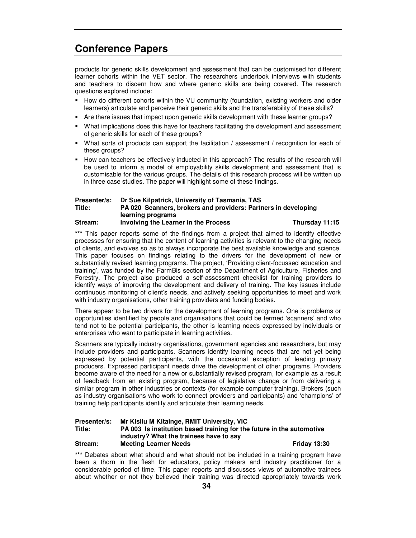products for generic skills development and assessment that can be customised for different learner cohorts within the VET sector. The researchers undertook interviews with students and teachers to discern how and where generic skills are being covered. The research questions explored include:

- How do different cohorts within the VU community (foundation, existing workers and older learners) articulate and perceive their generic skills and the transferability of these skills?
- Are there issues that impact upon generic skills development with these learner groups?
- What implications does this have for teachers facilitating the development and assessment of generic skills for each of these groups?
- What sorts of products can support the facilitation / assessment / recognition for each of these groups?
- How can teachers be effectively inducted in this approach? The results of the research will be used to inform a model of employability skills development and assessment that is customisable for the various groups. The details of this research process will be written up in three case studies. The paper will highlight some of these findings.

### **Presenter/s: Dr Sue Kilpatrick, University of Tasmania, TAS Title: PA 020 Scanners, brokers and providers: Partners in developing learning programs Stream: Involving the Learner in the Process Thursday 11:15**

**\*\*\*** This paper reports some of the findings from a project that aimed to identify effective processes for ensuring that the content of learning activities is relevant to the changing needs of clients, and evolves so as to always incorporate the best available knowledge and science. This paper focuses on findings relating to the drivers for the development of new or substantially revised learning programs. The project, 'Providing client-focussed education and training', was funded by the FarmBis section of the Department of Agriculture, Fisheries and Forestry. The project also produced a self-assessment checklist for training providers to identify ways of improving the development and delivery of training. The key issues include continuous monitoring of client's needs, and actively seeking opportunities to meet and work with industry organisations, other training providers and funding bodies.

There appear to be two drivers for the development of learning programs. One is problems or opportunities identified by people and organisations that could be termed 'scanners' and who tend not to be potential participants, the other is learning needs expressed by individuals or enterprises who want to participate in learning activities.

Scanners are typically industry organisations, government agencies and researchers, but may include providers and participants. Scanners identify learning needs that are not yet being expressed by potential participants, with the occasional exception of leading primary producers. Expressed participant needs drive the development of other programs. Providers become aware of the need for a new or substantially revised program, for example as a result of feedback from an existing program, because of legislative change or from delivering a similar program in other industries or contexts (for example computer training). Brokers (such as industry organisations who work to connect providers and participants) and 'champions' of training help participants identify and articulate their learning needs.

### **Presenter/s: Mr Kisilu M Kitainge, RMIT University, VIC Title: PA 003 Is institution based training for the future in the automotive industry? What the trainees have to say Stream: Meeting Learner Needs Friday 13:30**

\*\*\* Debates about what should and what should not be included in a training program have been a thorn in the flesh for educators, policy makers and industry practitioner for a considerable period of time. This paper reports and discusses views of automotive trainees about whether or not they believed their training was directed appropriately towards work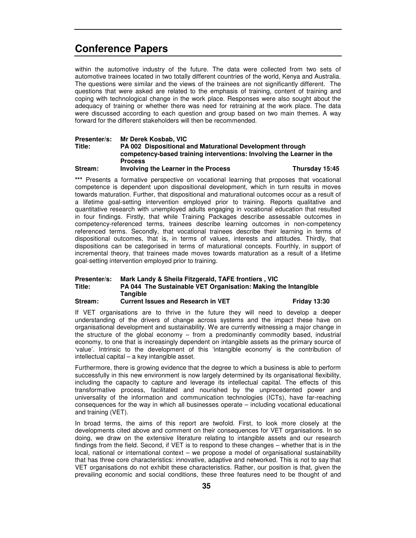within the automotive industry of the future. The data were collected from two sets of automotive trainees located in two totally different countries of the world, Kenya and Australia. The questions were similar and the views of the trainees are not significantly different. The questions that were asked are related to the emphasis of training, content of training and coping with technological change in the work place. Responses were also sought about the adequacy of training or whether there was need for retraining at the work place. The data were discussed according to each question and group based on two main themes. A way forward for the different stakeholders will then be recommended.

### **Presenter/s: Mr Derek Kosbab, VIC Title: PA 002 Dispositional and Maturational Development through competency-based training interventions: Involving the Learner in the Process**

### **Stream: Involving the Learner in the Process Thursday 15:45**

\*\*\* Presents a formative perspective on vocational learning that proposes that vocational competence is dependent upon dispositional development, which in turn results in moves towards maturation. Further, that dispositional and maturational outcomes occur as a result of a lifetime goal-setting intervention employed prior to training. Reports qualitative and quantitative research with unemployed adults engaging in vocational education that resulted in four findings. Firstly, that while Training Packages describe assessable outcomes in competency-referenced terms, trainees describe learning outcomes in non-competency referenced terms. Secondly, that vocational trainees describe their learning in terms of dispositional outcomes, that is, in terms of values, interests and attitudes. Thirdly, that dispositions can be categorised in terms of maturational concepts. Fourthly, in support of incremental theory, that trainees made moves towards maturation as a result of a lifetime goal-setting intervention employed prior to training.

### **Presenter/s: Mark Landy & Sheila Fitzgerald, TAFE frontiers , VIC Title: PA 044 The Sustainable VET Organisation: Making the Intangible Tangible Stream: Current Issues and Research in VET Friday 13:30**

If VET organisations are to thrive in the future they will need to develop a deeper understanding of the drivers of change across systems and the impact these have on organisational development and sustainability. We are currently witnessing a major change in the structure of the global economy – from a predominantly commodity based, industrial economy, to one that is increasingly dependent on intangible assets as the primary source of 'value'. Intrinsic to the development of this 'intangible economy' is the contribution of intellectual capital – a key intangible asset.

Furthermore, there is growing evidence that the degree to which a business is able to perform successfully in this new environment is now largely determined by its organisational flexibility, including the capacity to capture and leverage its intellectual capital. The effects of this transformative process, facilitated and nourished by the unprecedented power and universality of the information and communication technologies (ICTs), have far-reaching consequences for the way in which all businesses operate – including vocational educational and training (VET).

In broad terms, the aims of this report are twofold. First, to look more closely at the developments cited above and comment on their consequences for VET organisations. In so doing, we draw on the extensive literature relating to intangible assets and our research findings from the field. Second, if VET is to respond to these changes – whether that is in the local, national or international context – we propose a model of organisational sustainability that has three core characteristics: innovative, adaptive and networked. This is not to say that VET organisations do not exhibit these characteristics. Rather, our position is that, given the prevailing economic and social conditions, these three features need to be thought of and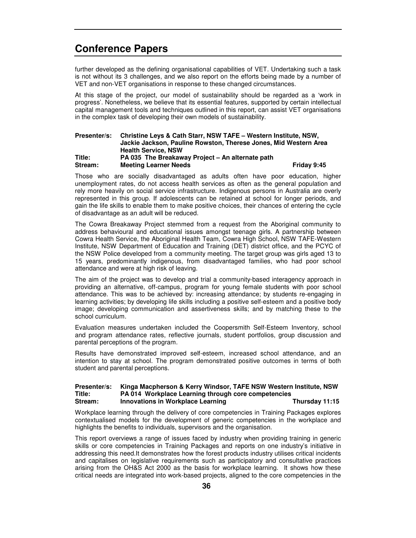further developed as the defining organisational capabilities of VET. Undertaking such a task is not without its 3 challenges, and we also report on the efforts being made by a number of VET and non-VET organisations in response to these changed circumstances.

At this stage of the project, our model of sustainability should be regarded as a 'work in progress'. Nonetheless, we believe that its essential features, supported by certain intellectual capital management tools and techniques outlined in this report, can assist VET organisations in the complex task of developing their own models of sustainability.

### **Presenter/s: Christine Leys & Cath Starr, NSW TAFE – Western Institute, NSW, Jackie Jackson, Pauline Rowston, Therese Jones, Mid Western Area Health Service, NSW Title: PA 035 The Breakaway Project – An alternate path Stream: Meeting Learner Needs Friday 9:45**

Those who are socially disadvantaged as adults often have poor education, higher unemployment rates, do not access health services as often as the general population and rely more heavily on social service infrastructure. Indigenous persons in Australia are overly represented in this group. If adolescents can be retained at school for longer periods, and gain the life skills to enable them to make positive choices, their chances of entering the cycle of disadvantage as an adult will be reduced.

The Cowra Breakaway Project stemmed from a request from the Aboriginal community to address behavioural and educational issues amongst teenage girls. A partnership between Cowra Health Service, the Aboriginal Health Team, Cowra High School, NSW TAFE-Western Institute, NSW Department of Education and Training (DET) district office, and the PCYC of the NSW Police developed from a community meeting. The target group was girls aged 13 to 15 years, predominantly indigenous, from disadvantaged families, who had poor school attendance and were at high risk of leaving.

The aim of the project was to develop and trial a community-based interagency approach in providing an alternative, off-campus, program for young female students with poor school attendance. This was to be achieved by: increasing attendance; by students re-engaging in learning activities; by developing life skills including a positive self-esteem and a positive body image; developing communication and assertiveness skills; and by matching these to the school curriculum.

Evaluation measures undertaken included the Coopersmith Self-Esteem Inventory, school and program attendance rates, reflective journals, student portfolios, group discussion and parental perceptions of the program.

Results have demonstrated improved self-esteem, increased school attendance, and an intention to stay at school. The program demonstrated positive outcomes in terms of both student and parental perceptions.

### **Presenter/s: Kinga Macpherson & Kerry Windsor, TAFE NSW Western Institute, NSW Title: PA 014 Workplace Learning through core competencies Stream: Innovations in Workplace Learning Thursday 11:15**

Workplace learning through the delivery of core competencies in Training Packages explores contextualised models for the development of generic competencies in the workplace and highlights the benefits to individuals, supervisors and the organisation.

This report overviews a range of issues faced by industry when providing training in generic skills or core competencies in Training Packages and reports on one industry's initiative in addressing this need.It demonstrates how the forest products industry utilises critical incidents and capitalises on legislative requirements such as participatory and consultative practices arising from the OH&S Act 2000 as the basis for workplace learning. It shows how these critical needs are integrated into work-based projects, aligned to the core competencies in the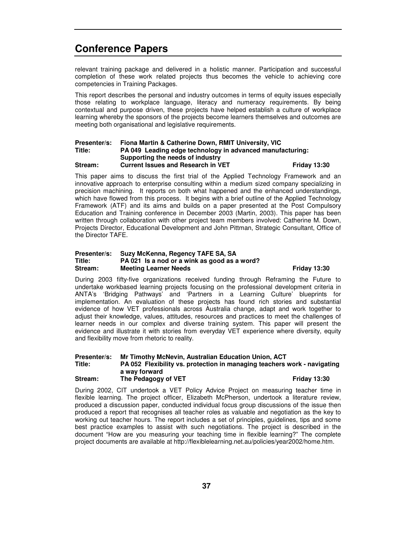relevant training package and delivered in a holistic manner. Participation and successful completion of these work related projects thus becomes the vehicle to achieving core competencies in Training Packages.

This report describes the personal and industry outcomes in terms of equity issues especially those relating to workplace language, literacy and numeracy requirements. By being contextual and purpose driven, these projects have helped establish a culture of workplace learning whereby the sponsors of the projects become learners themselves and outcomes are meeting both organisational and legislative requirements.

### **Presenter/s: Fiona Martin & Catherine Down, RMIT University, VIC Title: PA 049 Leading edge technology in advanced manufacturing: Supporting the needs of industry Stream: Current Issues and Research in VET Friday 13:30**

This paper aims to discuss the first trial of the Applied Technology Framework and an innovative approach to enterprise consulting within a medium sized company specializing in precision machining. It reports on both what happened and the enhanced understandings, which have flowed from this process. It begins with a brief outline of the Applied Technology Framework (ATF) and its aims and builds on a paper presented at the Post Compulsory Education and Training conference in December 2003 (Martin, 2003). This paper has been written through collaboration with other project team members involved: Catherine M. Down, Projects Director, Educational Development and John Pittman, Strategic Consultant, Office of the Director TAFE.

### **Presenter/s: Suzy McKenna, Regency TAFE SA, SA Title: PA 021 Is a nod or a wink as good as a word? Stream: Meeting Learner Needs Friday 13:30**

During 2003 fifty-five organizations received funding through Reframing the Future to undertake workbased learning projects focusing on the professional development criteria in ANTA's 'Bridging Pathways' and 'Partners in a Learning Culture' blueprints for implementation. An evaluation of these projects has found rich stories and substantial evidence of how VET professionals across Australia change, adapt and work together to adjust their knowledge, values, attitudes, resources and practices to meet the challenges of learner needs in our complex and diverse training system. This paper will present the evidence and illustrate it with stories from everyday VET experience where diversity, equity and flexibility move from rhetoric to reality.

### **Presenter/s: Mr Timothy McNevin, Australian Education Union, ACT Title: PA 052 Flexibility vs. protection in managing teachers work - navigating a way forward Stream: The Pedagogy of VET Friday 13:30**

During 2002, CIT undertook a VET Policy Advice Project on measuring teacher time in flexible learning. The project officer, Elizabeth McPherson, undertook a literature review, produced a discussion paper, conducted individual focus group discussions of the issue then produced a report that recognises all teacher roles as valuable and negotiation as the key to working out teacher hours. The report includes a set of principles, guidelines, tips and some best practice examples to assist with such negotiations. The project is described in the document "How are you measuring your teaching time in flexible learning?" The complete project documents are available at http://flexiblelearning.net.au/policies/year2002/home.htm.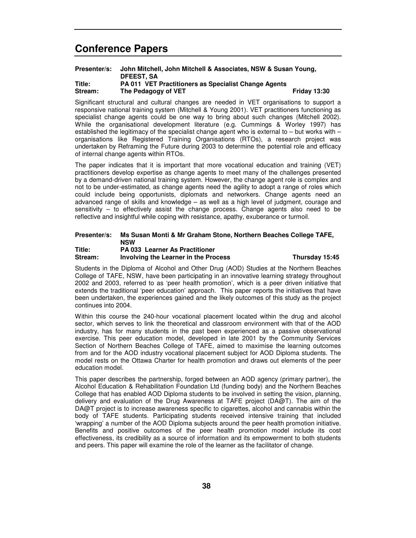### **Presenter/s: John Mitchell, John Mitchell & Associates, NSW & Susan Young, DFEEST, SA Title: PA 011 VET Practitioners as Specialist Change Agents Stream: The Pedagogy of VET Friday 13:30**

Significant structural and cultural changes are needed in VET organisations to support a responsive national training system (Mitchell & Young 2001). VET practitioners functioning as specialist change agents could be one way to bring about such changes (Mitchell 2002). While the organisational development literature (e.g. Cummings & Worley 1997) has established the legitimacy of the specialist change agent who is external to – but works with – organisations like Registered Training Organisations (RTOs), a research project was undertaken by Reframing the Future during 2003 to determine the potential role and efficacy of internal change agents within RTOs.

The paper indicates that it is important that more vocational education and training (VET) practitioners develop expertise as change agents to meet many of the challenges presented by a demand-driven national training system. However, the change agent role is complex and not to be under-estimated, as change agents need the agility to adopt a range of roles which could include being opportunists, diplomats and networkers. Change agents need an advanced range of skills and knowledge – as well as a high level of judgment, courage and sensitivity – to effectively assist the change process. Change agents also need to be reflective and insightful while coping with resistance, apathy, exuberance or turmoil.

## **Presenter/s: Ms Susan Monti & Mr Graham Stone, Northern Beaches College TAFE, NSW**

### **Title: PA 033 Learner As Practitioner Stream: Involving the Learner in the Process Thursday 15:45**

Students in the Diploma of Alcohol and Other Drug (AOD) Studies at the Northern Beaches College of TAFE, NSW, have been participating in an innovative learning strategy throughout 2002 and 2003, referred to as 'peer health promotion', which is a peer driven initiative that extends the traditional 'peer education' approach. This paper reports the initiatives that have been undertaken, the experiences gained and the likely outcomes of this study as the project continues into 2004.

Within this course the 240-hour vocational placement located within the drug and alcohol sector, which serves to link the theoretical and classroom environment with that of the AOD industry, has for many students in the past been experienced as a passive observational exercise. This peer education model, developed in late 2001 by the Community Services Section of Northern Beaches College of TAFE, aimed to maximise the learning outcomes from and for the AOD industry vocational placement subject for AOD Diploma students. The model rests on the Ottawa Charter for health promotion and draws out elements of the peer education model.

This paper describes the partnership, forged between an AOD agency (primary partner), the Alcohol Education & Rehabilitation Foundation Ltd (funding body) and the Northern Beaches College that has enabled AOD Diploma students to be involved in setting the vision, planning, delivery and evaluation of the Drug Awareness at TAFE project (DA@T). The aim of the DA@T project is to increase awareness specific to cigarettes, alcohol and cannabis within the body of TAFE students. Participating students received intensive training that included 'wrapping' a number of the AOD Diploma subjects around the peer health promotion initiative. Benefits and positive outcomes of the peer health promotion model include its cost effectiveness, its credibility as a source of information and its empowerment to both students and peers. This paper will examine the role of the learner as the facilitator of change.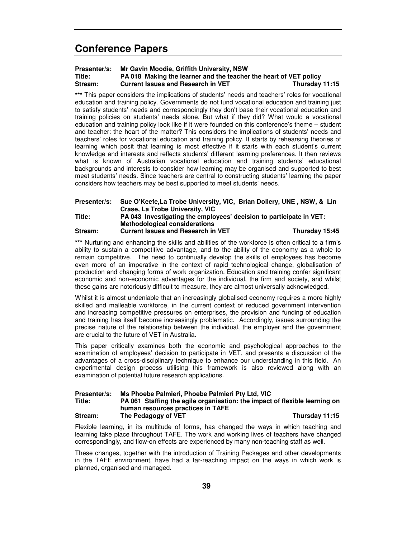### **Presenter/s: Mr Gavin Moodie, Griffith University, NSW Title: PA 018 Making the learner and the teacher the heart of VET policy Stream: Current Issues and Research in VET Thursday 11:15**

**\*\*\*** This paper considers the implications of students' needs and teachers' roles for vocational education and training policy. Governments do not fund vocational education and training just to satisfy students' needs and correspondingly they don't base their vocational education and training policies on students' needs alone. But what if they did? What would a vocational education and training policy look like if it were founded on this conference's theme – student and teacher: the heart of the matter? This considers the implications of students' needs and teachers' roles for vocational education and training policy. It starts by rehearsing theories of learning which posit that learning is most effective if it starts with each student's current knowledge and interests and reflects students' different learning preferences. It then reviews what is known of Australian vocational education and training students' educational backgrounds and interests to consider how learning may be organised and supported to best meet students' needs. Since teachers are central to constructing students' learning the paper considers how teachers may be best supported to meet students' needs.

| Presenter/s: | Sue O'Keefe, La Trobe University, VIC, Brian Dollery, UNE, NSW, & Lin |  |
|--------------|-----------------------------------------------------------------------|--|
|              | Crase, La Trobe University, VIC                                       |  |
| Title:       | PA 043 Investigating the employees' decision to participate in VET:   |  |
|              | <b>Methodological considerations</b>                                  |  |

**Stream: Current Issues and Research in VET Thursday 15:45**

**\*\*\*** Nurturing and enhancing the skills and abilities of the workforce is often critical to a firm's ability to sustain a competitive advantage, and to the ability of the economy as a whole to remain competitive. The need to continually develop the skills of employees has become even more of an imperative in the context of rapid technological change, globalisation of production and changing forms of work organization. Education and training confer significant economic and non-economic advantages for the individual, the firm and society, and whilst these gains are notoriously difficult to measure, they are almost universally acknowledged.

Whilst it is almost undeniable that an increasingly globalised economy requires a more highly skilled and malleable workforce, in the current context of reduced government intervention and increasing competitive pressures on enterprises, the provision and funding of education and training has itself become increasingly problematic. Accordingly, issues surrounding the precise nature of the relationship between the individual, the employer and the government are crucial to the future of VET in Australia.

This paper critically examines both the economic and psychological approaches to the examination of employees' decision to participate in VET, and presents a discussion of the advantages of a cross-disciplinary technique to enhance our understanding in this field. An experimental design process utilising this framework is also reviewed along with an examination of potential future research applications.

### **Presenter/s: Ms Phoebe Palmieri, Phoebe Palmieri Pty Ltd, VIC Title: PA 061 Staffing the agile organisation: the impact of flexible learning on human resources practices in TAFE Stream: The Pedagogy of VET Thursday 11:15**

Flexible learning, in its multitude of forms, has changed the ways in which teaching and learning take place throughout TAFE. The work and working lives of teachers have changed correspondingly, and flow-on effects are experienced by many non-teaching staff as well.

These changes, together with the introduction of Training Packages and other developments in the TAFE environment, have had a far-reaching impact on the ways in which work is planned, organised and managed.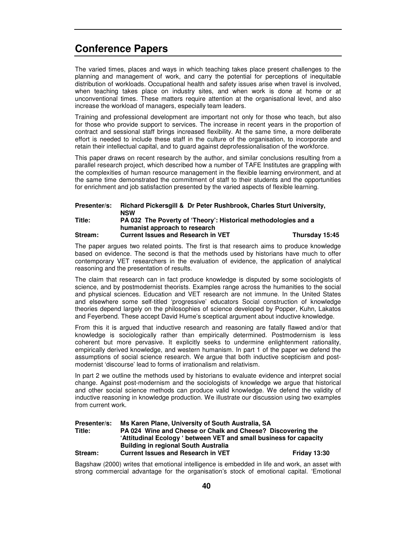The varied times, places and ways in which teaching takes place present challenges to the planning and management of work, and carry the potential for perceptions of inequitable distribution of workloads. Occupational health and safety issues arise when travel is involved, when teaching takes place on industry sites, and when work is done at home or at unconventional times. These matters require attention at the organisational level, and also increase the workload of managers, especially team leaders.

Training and professional development are important not only for those who teach, but also for those who provide support to services. The increase in recent years in the proportion of contract and sessional staff brings increased flexibility. At the same time, a more deliberate effort is needed to include these staff in the culture of the organisation, to incorporate and retain their intellectual capital, and to guard against deprofessionalisation of the workforce.

This paper draws on recent research by the author, and similar conclusions resulting from a parallel research project, which described how a number of TAFE Institutes are grappling with the complexities of human resource management in the flexible learning environment, and at the same time demonstrated the commitment of staff to their students and the opportunities for enrichment and job satisfaction presented by the varied aspects of flexible learning.

| Presenter/s: | Richard Pickersgill & Dr Peter Rushbrook, Charles Sturt University, |                |
|--------------|---------------------------------------------------------------------|----------------|
|              | <b>NSW</b>                                                          |                |
| Title:       | PA 032 The Poverty of 'Theory': Historical methodologies and a      |                |
|              | humanist approach to research                                       |                |
| Stream:      | <b>Current Issues and Research in VET</b>                           | Thursday 15:45 |

The paper argues two related points. The first is that research aims to produce knowledge based on evidence. The second is that the methods used by historians have much to offer contemporary VET researchers in the evaluation of evidence, the application of analytical reasoning and the presentation of results.

The claim that research can in fact produce knowledge is disputed by some sociologists of science, and by postmodernist theorists. Examples range across the humanities to the social and physical sciences. Education and VET research are not immune. In the United States and elsewhere some self-titled 'progressive' educators Social construction of knowledge theories depend largely on the philosophies of science developed by Popper, Kuhn, Lakatos and Feyerbend. These accept David Hume's sceptical argument about inductive knowledge.

From this it is argued that inductive research and reasoning are fatally flawed and/or that knowledge is sociologically rather than empirically determined. Postmodernism is less coherent but more pervasive. It explicitly seeks to undermine enlightenment rationality, empirically derived knowledge, and western humanism. In part 1 of the paper we defend the assumptions of social science research. We argue that both inductive scepticism and postmodernist 'discourse' lead to forms of irrationalism and relativism.

In part 2 we outline the methods used by historians to evaluate evidence and interpret social change. Against post-modernism and the sociologists of knowledge we argue that historical and other social science methods can produce valid knowledge. We defend the validity of inductive reasoning in knowledge production. We illustrate our discussion using two examples from current work.

| Presenter/s: | Ms Karen Plane, University of South Australia, SA                  |                     |  |
|--------------|--------------------------------------------------------------------|---------------------|--|
| Title:       | <b>PA 024 Wine and Cheese or Chalk and Cheese? Discovering the</b> |                     |  |
|              | 'Attitudinal Ecology ' between VET and small business for capacity |                     |  |
|              | <b>Building in regional South Australia</b>                        |                     |  |
| Stream:      | <b>Current Issues and Research in VET</b>                          | <b>Friday 13:30</b> |  |

Bagshaw (2000) writes that emotional intelligence is embedded in life and work, an asset with strong commercial advantage for the organisation's stock of emotional capital. 'Emotional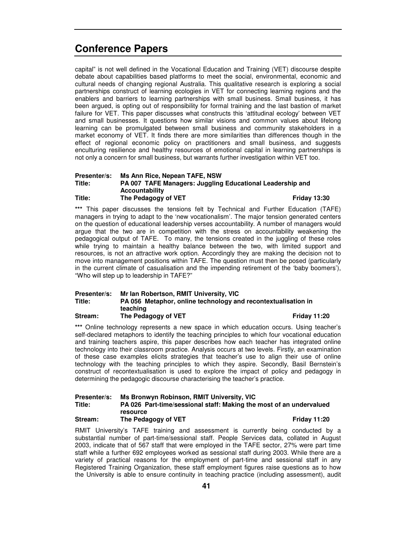capital" is not well defined in the Vocational Education and Training (VET) discourse despite debate about capabilities based platforms to meet the social, environmental, economic and cultural needs of changing regional Australia. This qualitative research is exploring a social partnerships construct of learning ecologies in VET for connecting learning regions and the enablers and barriers to learning partnerships with small business. Small business, it has been argued, is opting out of responsibility for formal training and the last bastion of market failure for VET. This paper discusses what constructs this 'attitudinal ecology' between VET and small businesses. It questions how similar visions and common values about lifelong learning can be promulgated between small business and community stakeholders in a market economy of VET. It finds there are more similarities than differences though in the effect of regional economic policy on practitioners and small business, and suggests enculturing resilience and healthy resources of emotional capital in learning partnerships is not only a concern for small business, but warrants further investigation within VET too.

### **Presenter/s: Ms Ann Rice, Nepean TAFE, NSW Title: PA 007 TAFE Managers: Juggling Educational Leadership and Accountability Title:** The Pedagogy of VET **Fiday** 13:30

**\*\*\*** This paper discusses the tensions felt by Technical and Further Education (TAFE) managers in trying to adapt to the 'new vocationalism'. The major tension generated centers on the question of educational leadership verses accountability. A number of managers would argue that the two are in competition with the stress on accountability weakening the pedagogical output of TAFE. To many, the tensions created in the juggling of these roles while trying to maintain a healthy balance between the two, with limited support and resources, is not an attractive work option. Accordingly they are making the decision not to move into management positions within TAFE. The question must then be posed (particularly in the current climate of casualisation and the impending retirement of the 'baby boomers'), "Who will step up to leadership in TAFE?"

### **Presenter/s: Mr Ian Robertson, RMIT University, VIC Title: PA 056 Metaphor, online technology and recontextualisation in teaching Stream: The Pedagogy of VET Friday 11:20**

**\*\*\*** Online technology represents a new space in which education occurs. Using teacher's self-declared metaphors to identify the teaching principles to which four vocational education and training teachers aspire, this paper describes how each teacher has integrated online technology into their classroom practice. Analysis occurs at two levels. Firstly, an examination of these case examples elicits strategies that teacher's use to align their use of online technology with the teaching principles to which they aspire. Secondly, Basil Bernstein's construct of recontextualisation is used to explore the impact of policy and pedagogy in determining the pedagogic discourse characterising the teacher's practice.

### **Presenter/s: Ms Bronwyn Robinson, RMIT University, VIC Title: PA 026 Part-time/sessional staff: Making the most of an undervalued resource Stream: The Pedagogy of VET Friday 11:20**

RMIT University's TAFE training and assessment is currently being conducted by a substantial number of part-time/sessional staff. People Services data, collated in August 2003, indicate that of 567 staff that were employed in the TAFE sector, 27% were part time staff while a further 692 employees worked as sessional staff during 2003. While there are a variety of practical reasons for the employment of part-time and sessional staff in any Registered Training Organization, these staff employment figures raise questions as to how the University is able to ensure continuity in teaching practice (including assessment), audit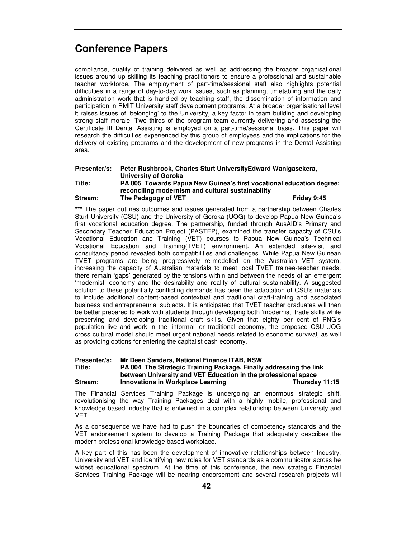compliance, quality of training delivered as well as addressing the broader organisational issues around up skilling its teaching practitioners to ensure a professional and sustainable teacher workforce. The employment of part-time/sessional staff also highlights potential difficulties in a range of day-to-day work issues, such as planning, timetabling and the daily administration work that is handled by teaching staff, the dissemination of information and participation in RMIT University staff development programs. At a broader organisational level it raises issues of 'belonging' to the University, a key factor in team building and developing strong staff morale. Two thirds of the program team currently delivering and assessing the Certificate III Dental Assisting is employed on a part-time/sessional basis. This paper will research the difficulties experienced by this group of employees and the implications for the delivery of existing programs and the development of new programs in the Dental Assisting area.

### **Presenter/s: Peter Rushbrook, Charles Sturt UniversityEdward Wanigasekera, University of Goroka Title: PA 005 Towards Papua New Guinea's first vocational education degree: reconciling modernism and cultural sustainability Stream:** The Pedagogy of VET **Friday** 9:45

**\*\*\*** The paper outlines outcomes and issues generated from a partnership between Charles Sturt University (CSU) and the University of Goroka (UOG) to develop Papua New Guinea's first vocational education degree. The partnership, funded through AusAID's Primary and Secondary Teacher Education Project (PASTEP), examined the transfer capacity of CSU's Vocational Education and Training (VET) courses to Papua New Guinea's Technical Vocational Education and Training(TVET) environment. An extended site-visit and consultancy period revealed both compatibilities and challenges. While Papua New Guinean TVET programs are being progressively re-modelled on the Australian VET system, increasing the capacity of Australian materials to meet local TVET trainee-teacher needs, there remain 'gaps' generated by the tensions within and between the needs of an emergent 'modernist' economy and the desirability and reality of cultural sustainability. A suggested solution to these potentially conflicting demands has been the adaptation of CSU's materials to include additional content-based contextual and traditional craft-training and associated business and entrepreneurial subjects. It is anticipated that TVET teacher graduates will then be better prepared to work with students through developing both 'modernist' trade skills while preserving and developing traditional craft skills. Given that eighty per cent of PNG's population live and work in the 'informal' or traditional economy, the proposed CSU-UOG cross cultural model should meet urgent national needs related to economic survival, as well as providing options for entering the capitalist cash economy.

### **Presenter/s: Mr Deen Sanders, National Finance ITAB, NSW**

### **Title: PA 004 The Strategic Training Package. Finally addressing the link between University and VET Education in the professional space Stream: Innovations in Workplace Learning Thursday 11:15**

The Financial Services Training Package is undergoing an enormous strategic shift, revolutionising the way Training Packages deal with a highly mobile, professional and knowledge based industry that is entwined in a complex relationship between University and VET.

As a consequence we have had to push the boundaries of competency standards and the VET endorsement system to develop a Training Package that adequately describes the modern professional knowledge based workplace.

A key part of this has been the development of innovative relationships between Industry, University and VET and identifying new roles for VET standards as a communicator across he widest educational spectrum. At the time of this conference, the new strategic Financial Services Training Package will be nearing endorsement and several research projects will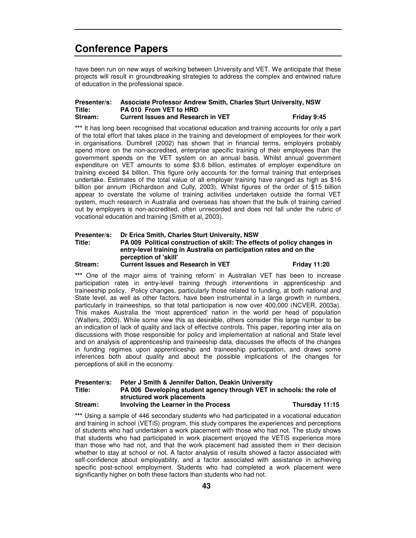have been run on new ways of working between University and VET. We anticipate that these projects will result in groundbreaking strategies to address the complex and entwined nature of education in the professional space.

### **Presenter/s: Associate Professor Andrew Smith, Charles Sturt University, NSW Title: PA 010 From VET to HRD Stream: Current Issues and Research in VET Friday 9:45**

**\*\*\*** It has long been recognised that vocational education and training accounts for only a part of the total effort that takes place in the training and development of employees for their work in organisations. Dumbrell (2002) has shown that in financial terms, employers probably spend more on the non-accredited, enterprise specific training of their employees than the government spends on the VET system on an annual basis. Whilst annual government expenditure on VET amounts to some \$3.6 billion, estimates of employer expenditure on training exceed \$4 billion. This figure only accounts for the formal training that enterprises undertake. Estimates of the total value of all employer training have ranged as high as \$16 billion per annum (Richardson and Cully, 2003). Whilst figures of the order of \$15 billion appear to overstate the volume of training activities undertaken outside the formal VET system, much research in Australia and overseas has shown that the bulk of training carried out by employers is non-accredited, often unrecorded and does not fall under the rubric of vocational education and training (Smith et al, 2003).

### **Presenter/s: Dr Erica Smith, Charles Sturt University, NSW Title: PA 009 Political construction of skill: The effects of policy changes in entry-level training in Australia on participation rates and on the perception of 'skill' Stream: Current Issues and Research in VET Friday 11:20**

### **\*\*\*** One of the major aims of 'training reform' in Australian VET has been to increase participation rates in entry-level training through interventions in apprenticeship and traineeship policy. Policy changes, particularly those related to funding, at both national and State level, as well as other factors, have been instrumental in a large growth in numbers, particularly in traineeships, so that total participation is now over 400,000 (NCVER, 2003a). This makes Australia the 'most apprenticed' nation in the world per head of population (Walters, 2003). While some view this as desirable, others consider this large number to be an indication of lack of quality and lack of effective controls. This paper, reporting inter alia on discussions with those responsible for policy and implementation at national and State level and on analysis of apprenticeship and traineeship data, discusses the effects of the changes in funding regimes upon apprenticeship and traineeship participation, and draws some inferences both about quality and about the possible implications of the changes for perceptions of skill in the economy.

### **Presenter/s: Peter J Smith & Jennifer Dalton, Deakin University Title: PA 006 Developing student agency through VET in schools: the role of structured work placements Stream: Involving the Learner in the Process Thursday 11:15**

\*\*\* Using a sample of 446 secondary students who had participated in a vocational education and training in school (VETiS) program, this study compares the experiences and perceptions of students who had undertaken a work placement with those who had not. The study shows that students who had participated in work placement enjoyed the VETiS experience more than those who had not, and that the work placement had assisted them in their decision whether to stay at school or not. A factor analysis of results showed a factor associated with self-confidence about employability, and a factor associated with assistance in achieving specific post-school employment. Students who had completed a work placement were significantly higher on both these factors than students who had not.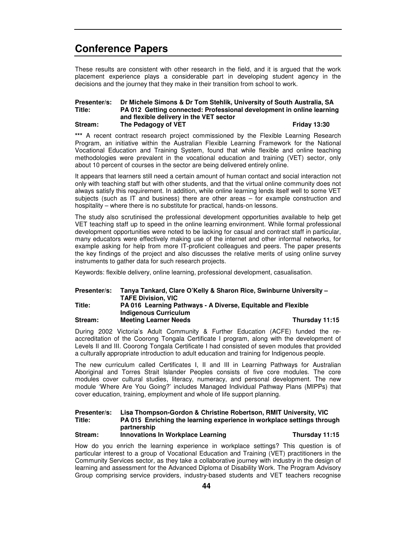These results are consistent with other research in the field, and it is argued that the work placement experience plays a considerable part in developing student agency in the decisions and the journey that they make in their transition from school to work.

### **Presenter/s: Dr Michele Simons & Dr Tom Stehlik, University of South Australia, SA Title: PA 012 Getting connected: Professional development in online learning and flexible delivery in the VET sector Stream: The Pedagogy of VET Friday 13:30**

\*\*\* A recent contract research project commissioned by the Flexible Learning Research Program, an initiative within the Australian Flexible Learning Framework for the National Vocational Education and Training System, found that while flexible and online teaching methodologies were prevalent in the vocational education and training (VET) sector, only about 10 percent of courses in the sector are being delivered entirely online.

It appears that learners still need a certain amount of human contact and social interaction not only with teaching staff but with other students, and that the virtual online community does not always satisfy this requirement. In addition, while online learning lends itself well to some VET subjects (such as IT and business) there are other areas – for example construction and hospitality – where there is no substitute for practical, hands-on lessons.

The study also scrutinised the professional development opportunities available to help get VET teaching staff up to speed in the online learning environment. While formal professional development opportunities were noted to be lacking for casual and contract staff in particular, many educators were effectively making use of the internet and other informal networks, for example asking for help from more IT-proficient colleagues and peers. The paper presents the key findings of the project and also discusses the relative merits of using online survey instruments to gather data for such research projects.

Keywords: flexible delivery, online learning, professional development, casualisation.

### **Presenter/s: Tanya Tankard, Clare O'Kelly & Sharon Rice, Swinburne University – TAFE Division, VIC Title: PA 016 Learning Pathways - A Diverse, Equitable and Flexible Indigenous Curriculum**

**Stream: Meeting Learner Needs Thursday 11:15**

During 2002 Victoria's Adult Community & Further Education (ACFE) funded the reaccreditation of the Coorong Tongala Certificate I program, along with the development of Levels II and III. Coorong Tongala Certificate I had consisted of seven modules that provided a culturally appropriate introduction to adult education and training for Indigenous people.

The new curriculum called Certificates I, II and III in Learning Pathways for Australian Aboriginal and Torres Strait Islander Peoples consists of five core modules. The core modules cover cultural studies, literacy, numeracy, and personal development. The new module 'Where Are You Going?' includes Managed Individual Pathway Plans (MIPPs) that cover education, training, employment and whole of life support planning.

### **Presenter/s: Lisa Thompson-Gordon & Christine Robertson, RMIT University, VIC Title: PA 015 Enriching the learning experience in workplace settings through partnership Stream: Innovations In Workplace Learning Thursday 11:15**

How do you enrich the learning experience in workplace settings? This question is of particular interest to a group of Vocational Education and Training (VET) practitioners in the Community Services sector, as they take a collaborative journey with industry in the design of learning and assessment for the Advanced Diploma of Disability Work. The Program Advisory Group comprising service providers, industry-based students and VET teachers recognise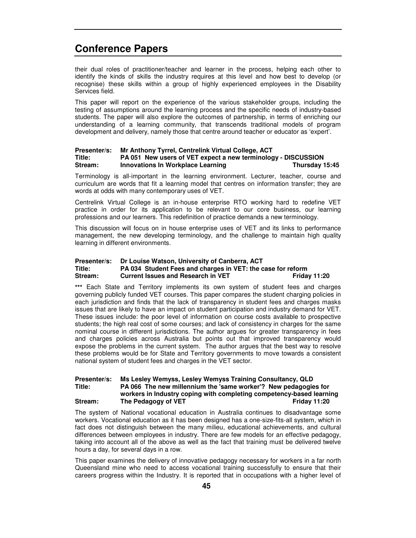their dual roles of practitioner/teacher and learner in the process, helping each other to identify the kinds of skills the industry requires at this level and how best to develop (or recognise) these skills within a group of highly experienced employees in the Disability Services field.

This paper will report on the experience of the various stakeholder groups, including the testing of assumptions around the learning process and the specific needs of industry-based students. The paper will also explore the outcomes of partnership, in terms of enriching our understanding of a learning community, that transcends traditional models of program development and delivery, namely those that centre around teacher or educator as 'expert'.

### **Presenter/s: Mr Anthony Tyrrel, Centrelink Virtual College, ACT Title: PA 051 New users of VET expect a new terminology - DISCUSSION Stream: Innovations In Workplace Learning Thursday 15:45**

Terminology is all-important in the learning environment. Lecturer, teacher, course and curriculum are words that fit a learning model that centres on information transfer; they are words at odds with many contemporary uses of VET.

Centrelink Virtual College is an in-house enterprise RTO working hard to redefine VET practice in order for its application to be relevant to our core business, our learning professions and our learners. This redefinition of practice demands a new terminology.

This discussion will focus on in house enterprise uses of VET and its links to performance management, the new developing terminology, and the challenge to maintain high quality learning in different environments.

### **Presenter/s: Dr Louise Watson, University of Canberra, ACT Title: PA 034 Student Fees and charges in VET: the case for reform Stream: Current Issues and Research in VET Friday 11:20**

**\*\*\*** Each State and Territory implements its own system of student fees and charges governing publicly funded VET courses. This paper compares the student charging policies in each jurisdiction and finds that the lack of transparency in student fees and charges masks issues that are likely to have an impact on student participation and industry demand for VET. These issues include: the poor level of information on course costs available to prospective students; the high real cost of some courses; and lack of consistency in charges for the same nominal course in different jurisdictions. The author argues for greater transparency in fees and charges policies across Australia but points out that improved transparency would expose the problems in the current system. The author argues that the best way to resolve these problems would be for State and Territory governments to move towards a consistent national system of student fees and charges in the VET sector.

### **Presenter/s: Ms Lesley Wemyss, Lesley Wemyss Training Consultancy, QLD Title: PA 066 The new millennium the 'same worker'? New pedagogies for workers in Industry coping with completing competency-based learning Stream: The Pedagogy of VET Friday 11:20**

The system of National vocational education in Australia continues to disadvantage some workers. Vocational education as it has been designed has a one-size-fits-all system, which in fact does not distinguish between the many milieu, educational achievements, and cultural differences between employees in industry. There are few models for an effective pedagogy, taking into account all of the above as well as the fact that training must be delivered twelve hours a day, for several days in a row.

This paper examines the delivery of innovative pedagogy necessary for workers in a far north Queensland mine who need to access vocational training successfully to ensure that their careers progress within the Industry. It is reported that in occupations with a higher level of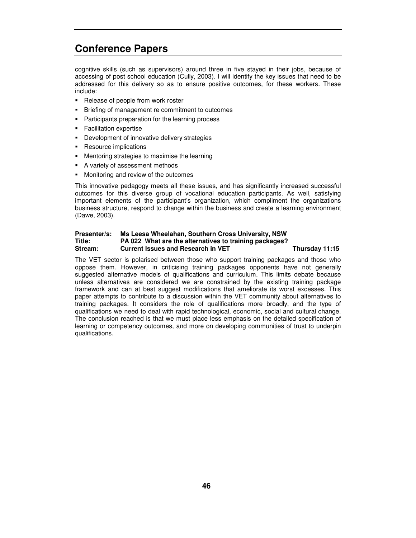cognitive skills (such as supervisors) around three in five stayed in their jobs, because of accessing of post school education (Cully, 2003). I will identify the key issues that need to be addressed for this delivery so as to ensure positive outcomes, for these workers. These include:

- Release of people from work roster
- Briefing of management re commitment to outcomes
- **Participants preparation for the learning process**
- Facilitation expertise
- **-** Development of innovative delivery strategies
- Resource implications
- Mentoring strategies to maximise the learning
- A variety of assessment methods
- **Monitoring and review of the outcomes**

This innovative pedagogy meets all these issues, and has significantly increased successful outcomes for this diverse group of vocational education participants. As well, satisfying important elements of the participant's organization, which compliment the organizations business structure, respond to change within the business and create a learning environment (Dawe, 2003).

### **Presenter/s: Ms Leesa Wheelahan, Southern Cross University, NSW Title: PA 022 What are the alternatives to training packages? Stream: Current Issues and Research in VET Thursday 11:15**

The VET sector is polarised between those who support training packages and those who oppose them. However, in criticising training packages opponents have not generally suggested alternative models of qualifications and curriculum. This limits debate because unless alternatives are considered we are constrained by the existing training package framework and can at best suggest modifications that ameliorate its worst excesses. This paper attempts to contribute to a discussion within the VET community about alternatives to training packages. It considers the role of qualifications more broadly, and the type of qualifications we need to deal with rapid technological, economic, social and cultural change. The conclusion reached is that we must place less emphasis on the detailed specification of learning or competency outcomes, and more on developing communities of trust to underpin qualifications.